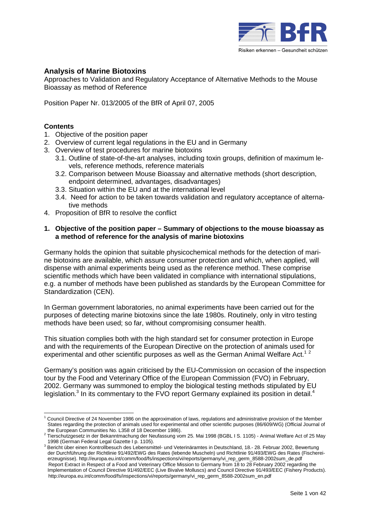

# **Analysis of Marine Biotoxins**

Approaches to Validation and Regulatory Acceptance of Alternative Methods to the Mouse Bioassay as method of Reference

Position Paper Nr. 013/2005 of the BfR of April 07, 2005

# **Contents**

- 1. Objective of the position paper
- 2. Overview of current legal regulations in the EU and in Germany
- 3. Overview of test procedures for marine biotoxins
	- 3.1. Outline of state-of-the-art analyses, including toxin groups, definition of maximum levels, reference methods, reference materials
	- 3.2. Comparison between Mouse Bioassay and alternative methods (short description, endpoint determined, advantages, disadvantages)
	- 3.3. Situation within the EU and at the international level
	- 3.4. Need for action to be taken towards validation and regulatory acceptance of alternative methods
- 4. Proposition of BfR to resolve the conflict

#### **1. Objective of the position paper – Summary of objections to the mouse bioassay as a method of reference for the analysis of marine biotoxins**

Germany holds the opinion that suitable physicochemical methods for the detection of marine biotoxins are available, which assure consumer protection and which, when applied, will dispense with animal experiments being used as the reference method. These comprise scientific methods which have been validated in compliance with international stipulations, e.g. a number of methods have been published as standards by the European Committee for Standardization (CEN).

In German government laboratories, no animal experiments have been carried out for the purposes of detecting marine biotoxins since the late 1980s. Routinely, only in vitro testing methods have been used; so far, without compromising consumer health.

This situation complies both with the high standard set for consumer protection in Europe and with the requirements of the European Directive on the protection of animals used for experimental and other scientific purposes as well as the German Animal Welfare Act.<sup>12</sup>

Germany's position was again criticised by the EU-Commission on occasion of the inspection tour by the Food and Veterinary Office of the European Commission (FVO) in February, 2002. Germany was summoned to employ the biological testing methods stipulated by EU legislation.<sup>3</sup> In its commentary to the FVO report Germany explained its position in detail.<sup>4</sup>

 <sup>1</sup> Council Directive of 24 November 1986 on the approximation of laws, regulations and administrative provision of the Member States regarding the protection of animals used for experimental and other scientific purposes (86/609/WG) (Official Journal of the European Communities No. L358 of 18 December 1986).

Tierschutzgesetz in der Bekanntmachung der Neufassung vom 25. Mai 1998 (BGBL I S. 1105) - Animal Welfare Act of 25 May

\_1998 (German Federal Legal Gazette I p. 1105).<br><sup>3</sup> Bericht über einen Kontrollbesuch des Lebensmittel- und Veterinäramtes in Deutschland, 18.- 28. Februar 2002, Bewertung der Durchführung der Richtlinie 91/492/EWG des Rates (lebende Muscheln) und Richtlinie 91/493/EWG des Rates (Fischereierzeugnisse). http://europa.eu.int/comm/food/fs/inspections/vi/reports/germany/vi\_rep\_germ\_8588-2002sum\_de.pdf Report Extract in Respect of a Food and Veterinary Office Mission to Germany from 18 to 28 February 2002 regarding the Implementation of Council Directive 91/492/EEC (Live Bivalve Molluscs) and Council Directive 91/493/EEC (Fishery Products). http://europa.eu.int/comm/food/fs/inspections/vi/reports/germany/vi\_rep\_germ\_8588-2002sum\_en.pdf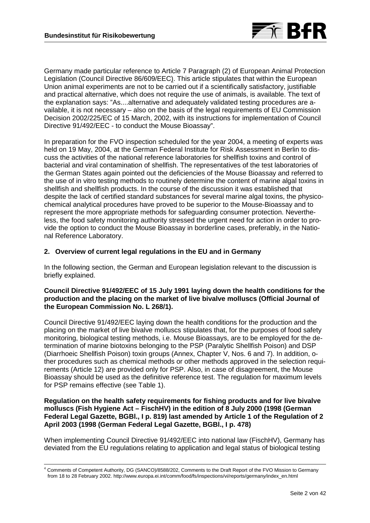

Germany made particular reference to Article 7 Paragraph (2) of European Animal Protection Legislation (Council Directive 86/609/EEC). This article stipulates that within the European Union animal experiments are not to be carried out if a scientifically satisfactory, justifiable and practical alternative, which does not require the use of animals, is available. The text of the explanation says: "As....alternative and adequately validated testing procedures are available, it is not necessary – also on the basis of the legal requirements of EU Commission Decision 2002/225/EC of 15 March, 2002, with its instructions for implementation of Council Directive 91/492/EEC - to conduct the Mouse Bioassay".

In preparation for the FVO inspection scheduled for the year 2004, a meeting of experts was held on 19 May, 2004, at the German Federal Institute for Risk Assessment in Berlin to discuss the activities of the national reference laboratories for shellfish toxins and control of bacterial and viral contamination of shellfish. The representatives of the test laboratories of the German States again pointed out the deficiencies of the Mouse Bioassay and referred to the use of in vitro testing methods to routinely determine the content of marine algal toxins in shellfish and shellfish products. In the course of the discussion it was established that despite the lack of certified standard substances for several marine algal toxins, the physicochemical analytical procedures have proved to be superior to the Mouse-Bioassay and to represent the more appropriate methods for safeguarding consumer protection. Nevertheless, the food safety monitoring authority stressed the urgent need for action in order to provide the option to conduct the Mouse Bioassay in borderline cases, preferably, in the National Reference Laboratory.

# **2. Overview of current legal regulations in the EU and in Germany**

In the following section, the German and European legislation relevant to the discussion is briefly explained.

#### **Council Directive 91/492/EEC of 15 July 1991 laying down the health conditions for the production and the placing on the market of live bivalve molluscs (Official Journal of the European Commission No. L 268/1).**

Council Directive 91/492/EEC laying down the health conditions for the production and the placing on the market of live bivalve molluscs stipulates that, for the purposes of food safety monitoring, biological testing methods, i.e. Mouse Bioassays, are to be employed for the determination of marine biotoxins belonging to the PSP (Paralytic Shellfish Poison) and DSP (Diarrhoeic Shellfish Poison) toxin groups (Annex, Chapter V, Nos. 6 and 7). In addition, other procedures such as chemical methods or other methods approved in the selection requirements (Article 12) are provided only for PSP. Also, in case of disagreement, the Mouse Bioassay should be used as the definitive reference test. The regulation for maximum levels for PSP remains effective (see Table 1).

#### **Regulation on the health safety requirements for fishing products and for live bivalve molluscs (Fish Hygiene Act – FischHV) in the edition of 8 July 2000 (1998 (German Federal Legal Gazette, BGBl., I p. 819) last amended by Article 1 of the Regulation of 2 April 2003 (1998 (German Federal Legal Gazette, BGBl., I p. 478)**

When implementing Council Directive 91/492/EEC into national law (FischHV), Germany has deviated from the EU regulations relating to application and legal status of biological testing

 $\frac{1}{4}$  Comments of Competent Authority, DG (SANCO)/8588/202, Comments to the Draft Report of the FVO Mission to Germany from 18 to 28 February 2002. http://www.europa.ei.int/comm/food/fs/inspections/vi/reports/germany/index\_en.html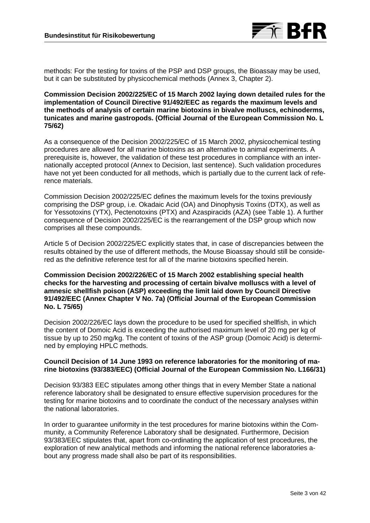

methods: For the testing for toxins of the PSP and DSP groups, the Bioassay may be used, but it can be substituted by physicochemical methods (Annex 3, Chapter 2).

#### **Commission Decision 2002/225/EC of 15 March 2002 laying down detailed rules for the implementation of Council Directive 91/492/EEC as regards the maximum levels and the methods of analysis of certain marine biotoxins in bivalve molluscs, echinoderms, tunicates and marine gastropods. (Official Journal of the European Commission No. L 75/62)**

As a consequence of the Decision 2002/225/EC of 15 March 2002, physicochemical testing procedures are allowed for all marine biotoxins as an alternative to animal experiments. A prerequisite is, however, the validation of these test procedures in compliance with an internationally accepted protocol (Annex to Decision, last sentence). Such validation procedures have not yet been conducted for all methods, which is partially due to the current lack of reference materials.

Commission Decision 2002/225/EC defines the maximum levels for the toxins previously comprising the DSP group, i.e. Okadaic Acid (OA) and Dinophysis Toxins (DTX), as well as for Yessotoxins (YTX), Pectenotoxins (PTX) and Azaspiracids (AZA) (see Table 1). A further consequence of Decision 2002/225/EC is the rearrangement of the DSP group which now comprises all these compounds.

Article 5 of Decision 2002/225/EC explicitly states that, in case of discrepancies between the results obtained by the use of different methods, the Mouse Bioassay should still be considered as the definitive reference test for all of the marine biotoxins specified herein.

## **Commission Decision 2002/226/EC of 15 March 2002 establishing special health checks for the harvesting and processing of certain bivalve molluscs with a level of amnesic shellfish poison (ASP) exceeding the limit laid down by Council Directive 91/492/EEC (Annex Chapter V No. 7a) (Official Journal of the European Commission No. L 75/65)**

Decision 2002/226/EC lays down the procedure to be used for specified shellfish, in which the content of Domoic Acid is exceeding the authorised maximum level of 20 mg per kg of tissue by up to 250 mg/kg. The content of toxins of the ASP group (Domoic Acid) is determined by employing HPLC methods.

# **Council Decision of 14 June 1993 on reference laboratories for the monitoring of marine biotoxins (93/383/EEC) (Official Journal of the European Commission No. L166/31)**

Decision 93/383 EEC stipulates among other things that in every Member State a national reference laboratory shall be designated to ensure effective supervision procedures for the testing for marine biotoxins and to coordinate the conduct of the necessary analyses within the national laboratories.

In order to guarantee uniformity in the test procedures for marine biotoxins within the Community, a Community Reference Laboratory shall be designated. Furthermore, Decision 93/383/EEC stipulates that, apart from co-ordinating the application of test procedures, the exploration of new analytical methods and informing the national reference laboratories about any progress made shall also be part of its responsibilities.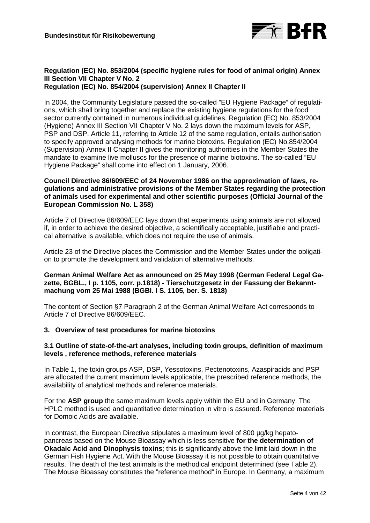

# **Regulation (EC) No. 853/2004 (specific hygiene rules for food of animal origin) Annex III Section VII Chapter V No. 2**

**Regulation (EC) No. 854/2004 (supervision) Annex II Chapter II**

In 2004, the Community Legislature passed the so-called "EU Hygiene Package" of regulations, which shall bring together and replace the existing hygiene regulations for the food sector currently contained in numerous individual guidelines. Regulation (EC) No. 853/2004 (Hygiene) Annex III Section VII Chapter V No. 2 lays down the maximum levels for ASP, PSP and DSP. Article 11, referring to Article 12 of the same regulation, entails authorisation to specify approved analysing methods for marine biotoxins. Regulation (EC) No.854/2004 (Supervision) Annex II Chapter II gives the monitoring authorities in the Member States the mandate to examine live molluscs for the presence of marine biotoxins. The so-called "EU Hygiene Package" shall come into effect on 1 January, 2006.

#### **Council Directive 86/609/EEC of 24 November 1986 on the approximation of laws, regulations and administrative provisions of the Member States regarding the protection of animals used for experimental and other scientific purposes (Official Journal of the European Commission No. L 358)**

Article 7 of Directive 86/609/EEC lays down that experiments using animals are not allowed if, in order to achieve the desired objective, a scientifically acceptable, justifiable and practical alternative is available, which does not require the use of animals.

Article 23 of the Directive places the Commission and the Member States under the obligation to promote the development and validation of alternative methods.

# **German Animal Welfare Act as announced on 25 May 1998 (German Federal Legal Gazette, BGBL., I p. 1105, corr. p.1818) - Tierschutzgesetz in der Fassung der Bekanntmachung vom 25 Mai 1988 (BGBI. I S. 1105, ber. S. 1818)**

The content of Section §7 Paragraph 2 of the German Animal Welfare Act corresponds to Article 7 of Directive 86/609/EEC.

# **3. Overview of test procedures for marine biotoxins**

# **3.1 Outline of state-of-the-art analyses, including toxin groups, definition of maximum levels , reference methods, reference materials**

In Table 1, the toxin groups ASP, DSP, Yessotoxins, Pectenotoxins, Azaspiracids and PSP are allocated the current maximum levels applicable, the prescribed reference methods, the availability of analytical methods and reference materials.

For the **ASP group** the same maximum levels apply within the EU and in Germany. The HPLC method is used and quantitative determination in vitro is assured. Reference materials for Domoic Acids are available.

In contrast, the European Directive stipulates a maximum level of 800  $\mu q/kg$  hepatopancreas based on the Mouse Bioassay which is less sensitive **for the determination of Okadaic Acid and Dinophysis toxins**; this is significantly above the limit laid down in the German Fish Hygiene Act. With the Mouse Bioassay it is not possible to obtain quantitative results. The death of the test animals is the methodical endpoint determined (see Table 2). The Mouse Bioassay constitutes the "reference method" in Europe. In Germany, a maximum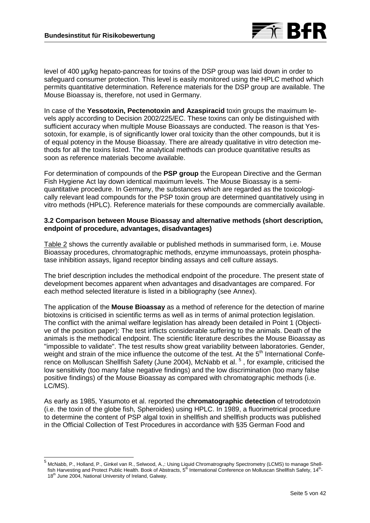

level of 400 ug/kg hepato-pancreas for toxins of the DSP group was laid down in order to safeguard consumer protection. This level is easily monitored using the HPLC method which permits quantitative determination. Reference materials for the DSP group are available. The Mouse Bioassay is, therefore, not used in Germany.

In case of the **Yessotoxin, Pectenotoxin and Azaspiracid** toxin groups the maximum levels apply according to Decision 2002/225/EC. These toxins can only be distinguished with sufficient accuracy when multiple Mouse Bioassays are conducted. The reason is that Yessotoxin, for example, is of significantly lower oral toxicity than the other compounds, but it is of equal potency in the Mouse Bioassay. There are already qualitative in vitro detection methods for all the toxins listed. The analytical methods can produce quantitative results as soon as reference materials become available.

For determination of compounds of the **PSP group** the European Directive and the German Fish Hygiene Act lay down identical maximum levels. The Mouse Bioassay is a semiquantitative procedure. In Germany, the substances which are regarded as the toxicologically relevant lead compounds for the PSP toxin group are determined quantitatively using in vitro methods (HPLC). Reference materials for these compounds are commercially available.

# **3.2 Comparison between Mouse Bioassay and alternative methods (short description, endpoint of procedure, advantages, disadvantages)**

Table 2 shows the currently available or published methods in summarised form, i.e. Mouse Bioassay procedures, chromatographic methods, enzyme immunoassays, protein phosphatase inhibition assays, ligand receptor binding assays and cell culture assays.

The brief description includes the methodical endpoint of the procedure. The present state of development becomes apparent when advantages and disadvantages are compared. For each method selected literature is listed in a bibliography (see Annex).

The application of the **Mouse Bioassay** as a method of reference for the detection of marine biotoxins is criticised in scientific terms as well as in terms of animal protection legislation. The conflict with the animal welfare legislation has already been detailed in Point 1 (Objective of the position paper): The test inflicts considerable suffering to the animals. Death of the animals is the methodical endpoint. The scientific literature describes the Mouse Bioassay as "impossible to validate". The test results show great variability between laboratories. Gender, weight and strain of the mice influence the outcome of the test. At the 5<sup>th</sup> International Conference on Molluscan Shellfish Safety (June 2004), McNabb et al. <sup>5</sup>, for example, criticised the low sensitivity (too many false negative findings) and the low discrimination (too many false positive findings) of the Mouse Bioassay as compared with chromatographic methods (i.e. LC/MS).

As early as 1985, Yasumoto et al. reported the **chromatographic detection** of tetrodotoxin (i.e. the toxin of the globe fish, Spheroides) using HPLC. In 1989, a fluorimetrical procedure to determine the content of PSP algal toxin in shellfish and shellfish products was published in the Official Collection of Test Procedures in accordance with §35 German Food and

<sup>&</sup>lt;sup>5</sup> McNabb, P., Holland, P., Ginkel van R., Selwood, A.,: Using Liquid Chromatrography Spectrometry (LCMS) to manage Shell-<br>- fish Harvesting and Protect Public Health. Book of Abstracts, 5<sup>th</sup> International Conference on 18<sup>th</sup> June 2004, National University of Ireland, Galway.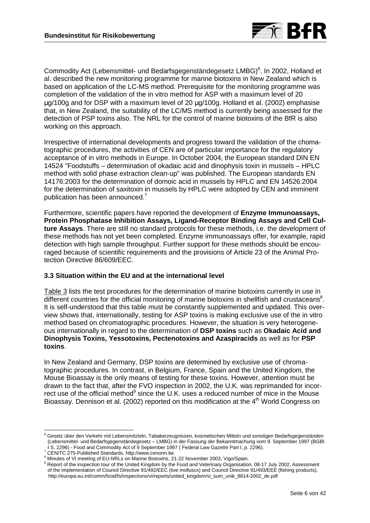

Commodity Act (Lebensmittel- und Bedarfsgegenständegesetz LMBG)<sup>6</sup>. In 2002, Holland et al. described the new monitoring programme for marine biotoxins in New Zealand which is based on application of the LC-MS method. Prerequisite for the monitoring programme was completion of the validation of the in vitro method for ASP with a maximum level of 20 µg/100g and for DSP with a maximum level of 20 µg/100g. Holland et al. (2002) emphasise that, in New Zealand, the suitability of the LC/MS method is currently being assessed for the detection of PSP toxins also. The NRL for the control of marine biotoxins of the BfR is also working on this approach.

Irrespective of international developments and progress toward the validation of the chomatographic procedures, the activities of CEN are of particular importance for the regulatory acceptance of in vitro methods in Europe. In October 2004, the European standard DIN EN 14524 "Foodstuffs – determination of okadaic acid and dinophysis toxin in mussels – HPLC method with solid phase extraction clean-up" was published. The European standards EN 14176:2003 for the determination of domoic acid in mussels by HPLC and EN 14526:2004 for the determination of saxitoxin in mussels by HPLC were adopted by CEN and imminent publication has been announced.<sup>7</sup>

Furthermore, scientific papers have reported the development of **Enzyme Immunoassays, Protein Phosphatase Inhibition Assays, Ligand-Receptor Binding Assays and Cell Culture Assays**. There are still no standard protocols for these methods, i.e. the development of these methods has not yet been completed. Enzyme immunoassays offer, for example, rapid detection with high sample throughput. Further support for these methods should be encouraged because of scientific requirements and the provisions of Article 23 of the Animal Protection Directive 86/609/EEC.

#### **3.3 Situation within the EU and at the international level**

Table 3 lists the test procedures for the determination of marine biotoxins currently in use in different countries for the official monitoring of marine biotoxins in shellfish and crustaceans<sup>8</sup>. It is self-understood that this table must be constantly supplemented and updated. This overview shows that, internationally, testing for ASP toxins is making exclusive use of the in vitro method based on chromatographic procedures. However, the situation is very heterogeneous internationally in regard to the determination of **DSP toxins** such as **Okadaic Acid and Dinophysis Toxins, Yessotoxins, Pectenotoxins and Azaspiracids** as well as for **PSP toxins**.

In New Zealand and Germany, DSP toxins are determined by exclusive use of chromatographic procedures. In contrast, in Belgium, France, Spain and the United Kingdom, the Mouse Bioassay is the only means of testing for these toxins. However, attention must be drawn to the fact that, after the FVO inspection in 2002, the U.K. was reprimanded for incorrect use of the official method<sup>9</sup> since the U.K. uses a reduced number of mice in the Mouse Bioassay. Dennison et al. (2002) reported on this modification at the 4<sup>th</sup> World Congress on

 $\overline{a}$ 

<sup>&</sup>lt;sup>6</sup> Gesetz über den Verkehr mit Lebensmitzteln, Tabakerzeugnissen, kosmetischen Mitteln und sonstigen Bedarfsgegenständen (Lebensmittel- und Bedarfsgegenständegesetz – LMBG) in der Fassung der Bekanntmachung vom 9. September 1997 (BGBl. I S. 2296) - Food and Commodity Act of 9 September 1997 ( Federal Law Gazette Part I, p. 2296). <sup>7</sup>

CEN/TC 275-Published Standards. http://www.cenorm.be

<sup>&</sup>lt;sup>8</sup> Minutes of VI meeting of EU-NRLs on Marine Biotoxins, 21-22 November 2003, Vigo/Spain.

<sup>&</sup>lt;sup>9</sup> Report of the inspection tour of the United Kingdom by the Food and Veterinary Organisation, 08-17 July 2002, Assessment of the implementation of Council Directive 91/492/EEC (live molluscs) and Council Directive 91/493/EEE (fishing products). http://europa.eu.int/comm/food/fs/inspections/vi/reports/united\_kingdom/vi\_sum\_unik\_8614-2002\_de.pdf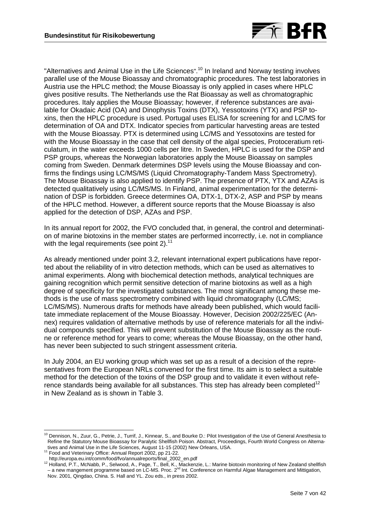

"Alternatives and Animal Use in the Life Sciences".<sup>10</sup> In Ireland and Norway testing involves parallel use of the Mouse Bioassay and chromatographic procedures. The test laboratories in Austria use the HPLC method; the Mouse Bioassay is only applied in cases where HPLC gives positive results. The Netherlands use the Rat Bioassay as well as chromatographic procedures. Italy applies the Mouse Bioassay; however, if reference substances are available for Okadaic Acid (OA) and Dinophysis Toxins (DTX), Yessotoxins (YTX) and PSP toxins, then the HPLC procedure is used. Portugal uses ELISA for screening for and LC/MS for determination of OA and DTX. Indicator species from particular harvesting areas are tested with the Mouse Bioassay. PTX is determined using LC/MS and Yessotoxins are tested for with the Mouse Bioassay in the case that cell density of the algal species, Protoceratium reticulatum, in the water exceeds 1000 cells per litre. In Sweden, HPLC is used for the DSP and PSP groups, whereas the Norwegian laboratories apply the Mouse Bioassay on samples coming from Sweden. Denmark determines DSP levels using the Mouse Bioassay and confirms the findings using LC/MS/MS (Liquid Chromatography-Tandem Mass Spectrometry). The Mouse Bioassay is also applied to identify PSP. The presence of PTX, YTX and AZAs is detected qualitatively using LC/MS/MS. In Finland, animal experimentation for the determination of DSP is forbidden. Greece determines OA, DTX-1, DTX-2, ASP and PSP by means of the HPLC method. However, a different source reports that the Mouse Bioassay is also applied for the detection of DSP, AZAs and PSP.

In its annual report for 2002, the FVO concluded that, in general, the control and determination of marine biotoxins in the member states are performed incorrectly, i.e. not in compliance with the legal requirements (see point 2).<sup>11</sup>

As already mentioned under point 3.2, relevant international expert publications have reported about the reliability of in vitro detection methods, which can be used as alternatives to animal experiments. Along with biochemical detection methods, analytical techniques are gaining recognition which permit sensitive detection of marine biotoxins as well as a high degree of specificity for the investigated substances. The most significant among these methods is the use of mass spectrometry combined with liquid chromatography (LC/MS; LC/MS/MS). Numerous drafts for methods have already been published, which would facilitate immediate replacement of the Mouse Bioassay. However, Decision 2002/225/EC (Annex) requires validation of alternative methods by use of reference materials for all the individual compounds specified. This will prevent substitution of the Mouse Bioassay as the routine or reference method for years to come; whereas the Mouse Bioassay, on the other hand, has never been subjected to such stringent assessment criteria.

In July 2004, an EU working group which was set up as a result of a decision of the representatives from the European NRLs convened for the first time. Its aim is to select a suitable method for the detection of the toxins of the DSP group and to validate it even without reference standards being available for all substances. This step has already been completed<sup>12</sup> in New Zealand as is shown in Table 3.

 $\overline{a}$ 

 $10$  Dennison, N., Zuur, G., Petrie, J., Turrif, J., Kinnear, S., and Bourke D.: Pilot Investigation of the Use of General Anesthesia to Refine the Statutory Mouse Bioassay for Paralytic Shellfish Poison. Abstract, Proceedings, Fourth World Congress on Alterna-

tives and Veterinary Office: Annual Report 2002, pp 21-22.<br>http://europa.eu.int/comm/food/fvo/annualreports/final 2002 en.pdf

http://europa.eu.int/comm/food/fvo/annualreports/final\_2002\_en.pdf<br><sup>12</sup> Holland, P.T., McNabb, P., Selwood, A., Page, T., Bell, K., Mackenzie, L.: Marine biotoxin monitoring of New Zealand shellfish – a new mangement programme based on LC-MS. Proc. 2<sup>nd</sup> Int. Conference on Harmful Algae Management and Mittigation, Nov. 2001, Qingdao, China. S. Hall and YL. Zou eds., in press 2002.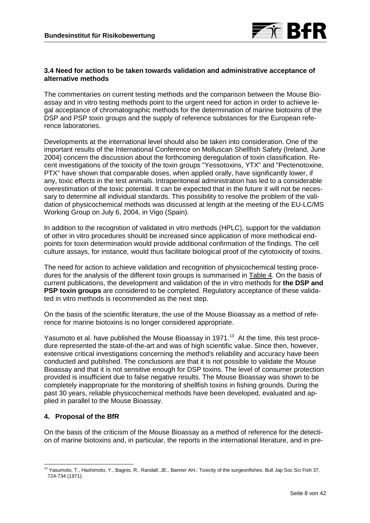

# **3.4 Need for action to be taken towards validation and administrative acceptance of alternative methods**

The commentaries on current testing methods and the comparison between the Mouse Bioassay and in vitro testing methods point to the urgent need for action in order to achieve legal acceptance of chromatographic methods for the determination of marine biotoxins of the DSP and PSP toxin groups and the supply of reference substances for the European reference laboratories.

Developments at the international level should also be taken into consideration. One of the important results of the International Conference on Molluscan Shellfish Safety (Ireland, June 2004) concern the discussion about the forthcoming deregulation of toxin classification. Recent investigations of the toxicity of the toxin groups "Yessotoxins, YTX" and "Pectenotoxine, PTX" have shown that comparable doses, when applied orally, have significantly lower, if any, toxic effects in the test animals. Intraperitoneal administration has led to a considerable overestimation of the toxic potential. It can be expected that in the future it will not be necessary to determine all individual standards. This possibility to resolve the problem of the validation of physicochemical methods was discussed at length at the meeting of the EU-LC/MS Working Group on July 6, 2004, in Vigo (Spain).

In addition to the recognition of validated in vitro methods (HPLC), support for the validation of other in vitro procedures should be increased since application of more methodical endpoints for toxin determination would provide additional confirmation of the findings. The cell culture assays, for instance, would thus facilitate biological proof of the cytotoxicity of toxins.

The need for action to achieve validation and recognition of physicochemical testing procedures for the analysis of the different toxin groups is summarised in Table 4. On the basis of current publications, the development and validation of the in vitro methods for **the DSP and PSP toxin groups** are considered to be completed. Regulatory acceptance of these validated in vitro methods is recommended as the next step.

On the basis of the scientific literature, the use of the Mouse Bioassay as a method of reference for marine biotoxins is no longer considered appropriate.

Yasumoto et al. have published the Mouse Bioassay in 1971.<sup>13</sup> At the time, this test procedure represented the state-of-the-art and was of high scientific value. Since then, however, extensive critical investigations concerning the method's reliability and accuracy have been conducted and published. The conclusions are that it is not possible to validate the Mouse Bioassay and that it is not sensitive enough for DSP toxins. The level of consumer protection provided is insufficient due to false negative results. The Mouse Bioassay was shown to be completely inappropriate for the monitoring of shellfish toxins in fishing grounds. During the past 30 years, reliable physicochemical methods have been developed, evaluated and applied in parallel to the Mouse Bioassay.

# **4. Proposal of the BfR**

On the basis of the criticism of the Mouse Bioassay as a method of reference for the detection of marine biotoxins and, in particular, the reports in the international literature, and in pre-

 <sup>13</sup> Yasumoto, T., Hashimoto, Y., Bagnis, R., Randall, JE., Banner AH.: Toxicity of the surgeonfishes. Bull Jap Soc Sci Fish 37, 724-734 (1971).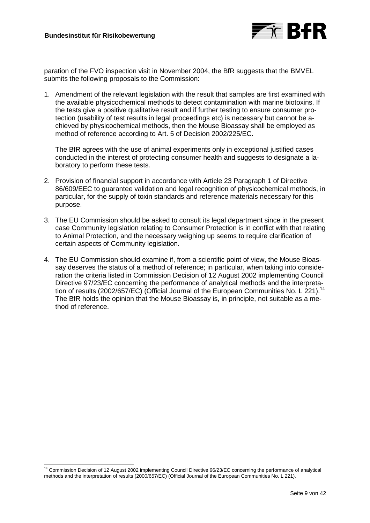

paration of the FVO inspection visit in November 2004, the BfR suggests that the BMVEL submits the following proposals to the Commission:

1. Amendment of the relevant legislation with the result that samples are first examined with the available physicochemical methods to detect contamination with marine biotoxins. If the tests give a positive qualitative result and if further testing to ensure consumer protection (usability of test results in legal proceedings etc) is necessary but cannot be achieved by physicochemical methods, then the Mouse Bioassay shall be employed as method of reference according to Art. 5 of Decision 2002/225/EC.

The BfR agrees with the use of animal experiments only in exceptional justified cases conducted in the interest of protecting consumer health and suggests to designate a laboratory to perform these tests.

- 2. Provision of financial support in accordance with Article 23 Paragraph 1 of Directive 86/609/EEC to guarantee validation and legal recognition of physicochemical methods, in particular, for the supply of toxin standards and reference materials necessary for this purpose.
- 3. The EU Commission should be asked to consult its legal department since in the present case Community legislation relating to Consumer Protection is in conflict with that relating to Animal Protection, and the necessary weighing up seems to require clarification of certain aspects of Community legislation.
- 4. The EU Commission should examine if, from a scientific point of view, the Mouse Bioassay deserves the status of a method of reference; in particular, when taking into consideration the criteria listed in Commission Decision of 12 August 2002 implementing Council Directive 97/23/EC concerning the performance of analytical methods and the interpretation of results (2002/657/EC) (Official Journal of the European Communities No. L 221).<sup>14</sup> The BfR holds the opinion that the Mouse Bioassay is, in principle, not suitable as a method of reference.

 <sup>14</sup> Commission Decision of 12 August 2002 implementing Council Directive 96/23/EC concerning the performance of analytical methods and the interpretation of results (2000/657/EC) (Official Journal of the European Communities No. L 221).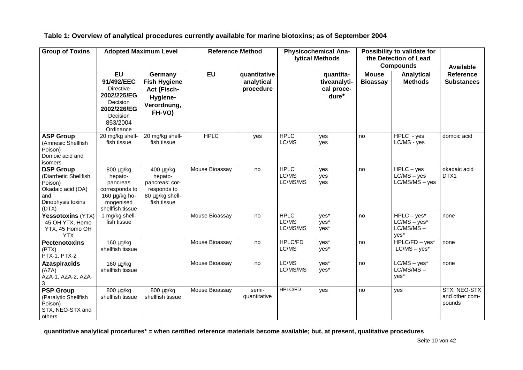| <b>Group of Toxins</b>                                                                                         | <b>Adopted Maximum Level</b>                                                                                               |                                                                                         | <b>Reference Method</b> |                                         | <b>Physicochemical Ana-</b><br><b>Iytical Methods</b> |                                                  | Possibility to validate for<br>the Detection of Lead<br><b>Compounds</b> |                                                         | <b>Available</b>                         |
|----------------------------------------------------------------------------------------------------------------|----------------------------------------------------------------------------------------------------------------------------|-----------------------------------------------------------------------------------------|-------------------------|-----------------------------------------|-------------------------------------------------------|--------------------------------------------------|--------------------------------------------------------------------------|---------------------------------------------------------|------------------------------------------|
|                                                                                                                | <b>EU</b><br>91/492/EEC<br><b>Directive</b><br>2002/225/EG<br>Decision<br>2002/226/EG<br>Decision<br>853/2004<br>Ordinance | Germany<br><b>Fish Hygiene</b><br>Act (Fisch-<br>Hygiene-<br>Verordnung,<br>FH-VO)      | <b>EU</b>               | quantitative<br>analytical<br>procedure |                                                       | quantita-<br>tiveanalyti-<br>cal proce-<br>dure* | <b>Mouse</b><br><b>Bioassay</b>                                          | <b>Analytical</b><br><b>Methods</b>                     | <b>Reference</b><br><b>Substances</b>    |
| <b>ASP Group</b><br>(Amnesic Shellfish<br>Poison)<br>Domoic acid and<br>isomers                                | 20 mg/kg shell-<br>fish tissue                                                                                             | 20 mg/kg shell-<br>fish tissue                                                          | <b>HPLC</b>             | yes                                     | <b>HPLC</b><br>LC/MS                                  | yes<br>yes                                       | no                                                                       | $HPLC - yes$<br>LC/MS - yes                             | domoic acid                              |
| <b>DSP Group</b><br>(Diarrhetic Shellfish<br>Poison)<br>Okadaic acid (OA)<br>and<br>Dinophysis toxins<br>(DTX) | 800 μg/kg<br>hepato-<br>pancreas<br>corresponds to<br>160 $\mu$ g/kg ho-<br>mogenised<br>shellfish tissue                  | 400 μg/kg<br>hepato-<br>pancreas; cor-<br>responds to<br>80 µg/kg shell-<br>fish tissue | Mouse Bioassay          | no                                      | <b>HPLC</b><br>LC/MS<br>LC/MS/MS                      | ves<br>yes<br>ves                                | no                                                                       | $HPLC - yes$<br>$LC/MS - yes$<br>$LC/MS/MS - yes$       | okadaic acid<br>DTX1                     |
| Yessotoxins (YTX)<br>45 OH YTX, Homo<br>YTX, 45 Homo OH<br><b>YTX</b>                                          | 1 mg/kg shell-<br>fish tissue                                                                                              |                                                                                         | Mouse Bioassay          | no                                      | <b>HPLC</b><br>LC/MS<br>LC/MS/MS                      | yes*<br>yes*<br>yes*                             | no                                                                       | $HPLC - yes*$<br>$LC/MS - yes*$<br>$LC/MS/MS -$<br>yes* | none                                     |
| <b>Pectenotoxins</b><br>(PTX)<br>PTX-1, PTX-2                                                                  | $160 \mu g/kg$<br>shellfish tissue                                                                                         |                                                                                         | Mouse Bioassay          | no                                      | <b>HPLC/FD</b><br>LC/MS                               | yes*<br>yes*                                     | no                                                                       | $HPLC/FD - yes*$<br>$LC/MS - yes*$                      | none                                     |
| <b>Azaspiracids</b><br>(AZA)<br>AZA-1, AZA-2, AZA-<br>3                                                        | 160 μg/kg<br>shellfish tissue                                                                                              |                                                                                         | Mouse Bioassay          | no                                      | LC/MS<br>LC/MS/MS                                     | yes*<br>yes*                                     | no                                                                       | $LC/MS - yes*$<br>$LC/MS/MS -$<br>yes*                  | none                                     |
| <b>PSP Group</b><br>(Paralytic Shellfish<br>Poison)<br>STX, NEO-STX and<br>others                              | 800 μg/kg<br>shellfish tissue                                                                                              | 800 μg/kg<br>shellfish tissue                                                           | Mouse Bioassay          | semi-<br>quantitative                   | <b>HPLC/FD</b>                                        | yes                                              | no                                                                       | yes                                                     | STX, NEO-STX<br>and other com-<br>pounds |

**Table 1: Overview of analytical procedures currently available for marine biotoxins; as of September 2004**

**quantitative analytical procedures\* = when certified reference materials become available; but, at present, qualitative procedures**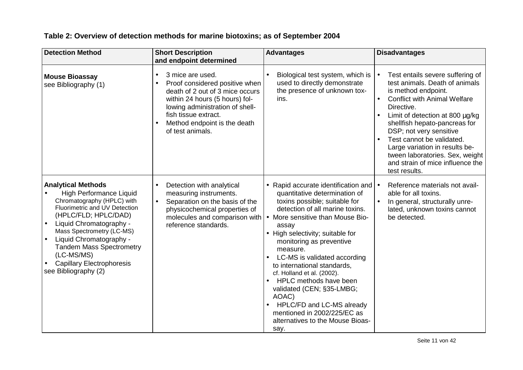# **Table 2: Overview of detection methods for marine biotoxins; as of September 2004**

| <b>Detection Method</b>                                                                                                                                                                                                                                                                                                                                                      | <b>Short Description</b><br>and endpoint determined                                                                                                                                                                                                              | <b>Advantages</b>                                                                                                                                                                                                                                                                                                                                                                                                                                                                                                                                                          | <b>Disadvantages</b>                                                                                                                                                                                                                                                                                                                                                                                              |
|------------------------------------------------------------------------------------------------------------------------------------------------------------------------------------------------------------------------------------------------------------------------------------------------------------------------------------------------------------------------------|------------------------------------------------------------------------------------------------------------------------------------------------------------------------------------------------------------------------------------------------------------------|----------------------------------------------------------------------------------------------------------------------------------------------------------------------------------------------------------------------------------------------------------------------------------------------------------------------------------------------------------------------------------------------------------------------------------------------------------------------------------------------------------------------------------------------------------------------------|-------------------------------------------------------------------------------------------------------------------------------------------------------------------------------------------------------------------------------------------------------------------------------------------------------------------------------------------------------------------------------------------------------------------|
| <b>Mouse Bioassay</b><br>see Bibliography (1)                                                                                                                                                                                                                                                                                                                                | 3 mice are used.<br>$\bullet$<br>Proof considered positive when<br>$\bullet$<br>death of 2 out of 3 mice occurs<br>within 24 hours (5 hours) fol-<br>lowing administration of shell-<br>fish tissue extract.<br>Method endpoint is the death<br>of test animals. | Biological test system, which is<br>used to directly demonstrate<br>the presence of unknown tox-<br>ins.                                                                                                                                                                                                                                                                                                                                                                                                                                                                   | Test entails severe suffering of<br>test animals. Death of animals<br>is method endpoint.<br><b>Conflict with Animal Welfare</b><br>$\bullet$<br>Directive.<br>Limit of detection at 800 µg/kg<br>shellfish hepato-pancreas for<br>DSP; not very sensitive<br>Test cannot be validated.<br>Large variation in results be-<br>tween laboratories. Sex, weight<br>and strain of mice influence the<br>test results. |
| <b>Analytical Methods</b><br><b>High Performance Liquid</b><br>Chromatography (HPLC) with<br>Fluorimetric and UV Detection<br>(HPLC/FLD; HPLC/DAD)<br>Liquid Chromatography -<br>$\bullet$<br>Mass Spectrometry (LC-MS)<br>Liquid Chromatography -<br>$\bullet$<br><b>Tandem Mass Spectrometry</b><br>(LC-MS/MS)<br><b>Capillary Electrophoresis</b><br>see Bibliography (2) | Detection with analytical<br>$\bullet$<br>measuring instruments.<br>Separation on the basis of the<br>$\bullet$<br>physicochemical properties of<br>reference standards.                                                                                         | • Rapid accurate identification and<br>quantitative determination of<br>toxins possible; suitable for<br>detection of all marine toxins.<br>molecules and comparison with $\cdot$ More sensitive than Mouse Bio-<br>assay<br>• High selectivity; suitable for<br>monitoring as preventive<br>measure.<br>LC-MS is validated according<br>to international standards,<br>cf. Holland et al. (2002).<br>HPLC methods have been<br>validated (CEN; §35-LMBG;<br>AOAC)<br>HPLC/FD and LC-MS already<br>mentioned in 2002/225/EC as<br>alternatives to the Mouse Bioas-<br>say. | Reference materials not avail-<br>$\bullet$<br>able for all toxins.<br>In general, structurally unre-<br>lated, unknown toxins cannot<br>be detected.                                                                                                                                                                                                                                                             |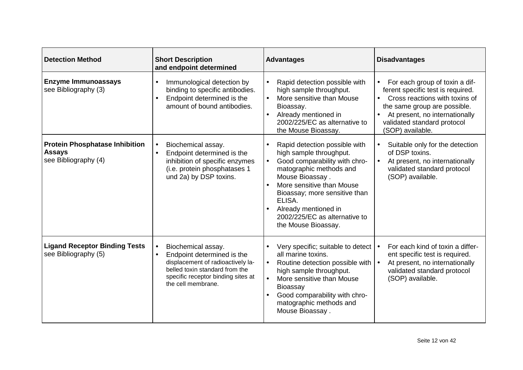| <b>Detection Method</b>                                                        | <b>Short Description</b><br>and endpoint determined                                                                                                                                                           | <b>Advantages</b>                                                                                                                                                                                                                                                                                            | <b>Disadvantages</b>                                                                                                                                                                                                       |
|--------------------------------------------------------------------------------|---------------------------------------------------------------------------------------------------------------------------------------------------------------------------------------------------------------|--------------------------------------------------------------------------------------------------------------------------------------------------------------------------------------------------------------------------------------------------------------------------------------------------------------|----------------------------------------------------------------------------------------------------------------------------------------------------------------------------------------------------------------------------|
| <b>Enzyme Immunoassays</b><br>see Bibliography (3)                             | Immunological detection by<br>$\bullet$<br>binding to specific antibodies.<br>Endpoint determined is the<br>amount of bound antibodies.                                                                       | Rapid detection possible with<br>$\bullet$<br>high sample throughput.<br>More sensitive than Mouse<br>$\bullet$<br>Bioassay.<br>Already mentioned in<br>2002/225/EC as alternative to<br>the Mouse Bioassay.                                                                                                 | For each group of toxin a dif-<br>ferent specific test is required.<br>Cross reactions with toxins of<br>the same group are possible.<br>At present, no internationally<br>validated standard protocol<br>(SOP) available. |
| <b>Protein Phosphatase Inhibition</b><br><b>Assays</b><br>see Bibliography (4) | Biochemical assay.<br>$\bullet$<br>Endpoint determined is the<br>inhibition of specific enzymes<br>(i.e. protein phosphatases 1<br>und 2a) by DSP toxins.                                                     | Rapid detection possible with<br>high sample throughput.<br>Good comparability with chro-<br>$\bullet$<br>matographic methods and<br>Mouse Bioassay.<br>More sensitive than Mouse<br>Bioassay; more sensitive than<br>ELISA.<br>Already mentioned in<br>2002/225/EC as alternative to<br>the Mouse Bioassay. | Suitable only for the detection<br>of DSP toxins.<br>At present, no internationally<br>validated standard protocol<br>(SOP) available.                                                                                     |
| <b>Ligand Receptor Binding Tests</b><br>see Bibliography (5)                   | Biochemical assay.<br>$\bullet$<br>Endpoint determined is the<br>$\bullet$<br>displacement of radioactively la-<br>belled toxin standard from the<br>specific receptor binding sites at<br>the cell membrane. | Very specific; suitable to detect<br>all marine toxins.<br>Routine detection possible with $\cdot$<br>$\bullet$<br>high sample throughput.<br>More sensitive than Mouse<br>$\bullet$<br><b>Bioassay</b><br>Good comparability with chro-<br>$\bullet$<br>matographic methods and<br>Mouse Bioassay.          | For each kind of toxin a differ-<br>ent specific test is required.<br>At present, no internationally<br>validated standard protocol<br>(SOP) available.                                                                    |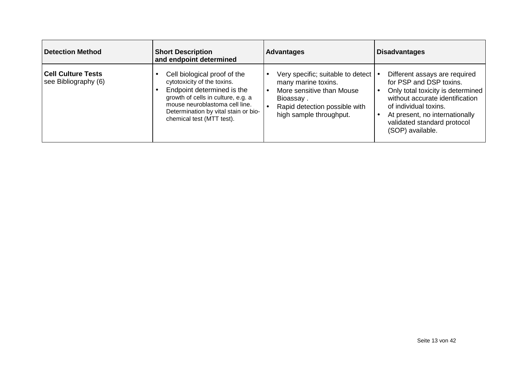| Detection Method                                  | <b>Short Description</b><br>and endpoint determined                                                                                                                                                                                    | <b>Advantages</b>                                                                                                                                                  | <b>Disadvantages</b>                                                                                                                                                                                                                           |
|---------------------------------------------------|----------------------------------------------------------------------------------------------------------------------------------------------------------------------------------------------------------------------------------------|--------------------------------------------------------------------------------------------------------------------------------------------------------------------|------------------------------------------------------------------------------------------------------------------------------------------------------------------------------------------------------------------------------------------------|
| <b>Cell Culture Tests</b><br>see Bibliography (6) | Cell biological proof of the<br>cytotoxicity of the toxins.<br>Endpoint determined is the<br>growth of cells in culture, e.g. a<br>mouse neuroblastoma cell line.<br>Determination by vital stain or bio-<br>chemical test (MTT test). | Very specific; suitable to detect   •<br>many marine toxins.<br>More sensitive than Mouse<br>Bioassay.<br>Rapid detection possible with<br>high sample throughput. | Different assays are required<br>for PSP and DSP toxins.<br>Only total toxicity is determined<br>without accurate identification<br>of individual toxins.<br>At present, no internationally<br>validated standard protocol<br>(SOP) available. |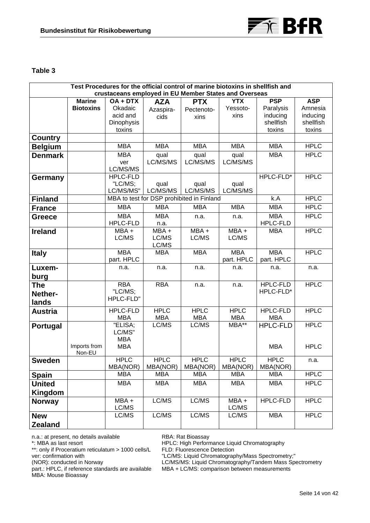



# **Table 3**

| Test Procedures for the official control of marine biotoxins in shellfish and |                  |                               |                                           |                           |                    |                        |                       |
|-------------------------------------------------------------------------------|------------------|-------------------------------|-------------------------------------------|---------------------------|--------------------|------------------------|-----------------------|
| crustaceans employed in EU Member States and Overseas                         |                  |                               |                                           |                           |                    |                        |                       |
|                                                                               | <b>Marine</b>    | $OA + DTX$                    | <b>AZA</b>                                | <b>PTX</b>                | <b>YTX</b>         | <b>PSP</b>             | <b>ASP</b>            |
|                                                                               | <b>Biotoxins</b> | Okadaic                       | Azaspira-                                 | Pectenoto-                | Yessoto-           | Paralysis              | Amnesia               |
|                                                                               |                  | acid and<br>Dinophysis        | cids                                      | xins                      | xins               | inducing<br>shellfish  | inducing<br>shellfish |
|                                                                               |                  | toxins                        |                                           |                           |                    | toxins                 | toxins                |
| <b>Country</b>                                                                |                  |                               |                                           |                           |                    |                        |                       |
| <b>Belgium</b>                                                                |                  | <b>MBA</b>                    | <b>MBA</b>                                | <b>MBA</b>                | <b>MBA</b>         | <b>MBA</b>             | <b>HPLC</b>           |
| <b>Denmark</b>                                                                |                  | <b>MBA</b>                    | qual                                      | qual                      | qual               | <b>MBA</b>             | <b>HPLC</b>           |
|                                                                               |                  | ver                           | LC/MS/MS                                  | LC/MS/MS                  | LC/MS/MS           |                        |                       |
|                                                                               |                  | LC/MS/MS                      |                                           |                           |                    |                        |                       |
| Germany                                                                       |                  | <b>HPLC-FLD</b>               |                                           |                           |                    | HPLC-FLD*              | <b>HPLC</b>           |
|                                                                               |                  | "LC/MS;                       | qual                                      | qual                      | qual               |                        |                       |
|                                                                               |                  | LC/MS/MS"                     | LC/MS/MS                                  | LC/MS/MS                  | LC/MS/MS           |                        |                       |
| <b>Finland</b>                                                                |                  |                               | MBA to test for DSP prohibited in Finland |                           |                    | k.A                    | <b>HPLC</b>           |
| <b>France</b>                                                                 |                  | <b>MBA</b>                    | <b>MBA</b>                                | <b>MBA</b>                | <b>MBA</b>         | <b>MBA</b>             | <b>HPLC</b>           |
| <b>Greece</b>                                                                 |                  | <b>MBA</b>                    | <b>MBA</b>                                | n.a.                      | n.a.               | <b>MBA</b>             | <b>HPLC</b>           |
|                                                                               |                  | HPLC-FLD                      | n.a.                                      |                           |                    | HPLC-FLD               |                       |
| <b>Ireland</b>                                                                |                  | MBA +                         | MBA +                                     | $MBA +$                   | $MBA +$            | <b>MBA</b>             | <b>HPLC</b>           |
|                                                                               |                  | LC/MS                         | LC/MS                                     | LC/MS                     | LC/MS              |                        |                       |
|                                                                               |                  | <b>MBA</b>                    | LC/MS<br><b>MBA</b>                       | <b>MBA</b>                | <b>MBA</b>         | <b>MBA</b>             | <b>HPLC</b>           |
| <b>Italy</b>                                                                  |                  | part. HPLC                    |                                           |                           | part. HPLC         | part. HPLC             |                       |
| Luxem-                                                                        |                  | n.a.                          | n.a.                                      | n.a.                      | n.a.               | n.a.                   | n.a.                  |
| burg                                                                          |                  |                               |                                           |                           |                    |                        |                       |
| <b>The</b>                                                                    |                  | <b>RBA</b>                    | <b>RBA</b>                                | n.a.                      | n.a.               | <b>HPLC-FLD</b>        | <b>HPLC</b>           |
| Nether-                                                                       |                  | "LC/MS;                       |                                           |                           |                    | HPLC-FLD*              |                       |
|                                                                               |                  | HPLC-FLD"                     |                                           |                           |                    |                        |                       |
| lands                                                                         |                  |                               |                                           |                           |                    |                        | <b>HPLC</b>           |
| <b>Austria</b>                                                                |                  | <b>HPLC-FLD</b><br><b>MBA</b> | <b>HPLC</b><br><b>MBA</b>                 | <b>HPLC</b><br><b>MBA</b> | <b>HPLC</b><br>MBA | <b>HPLC-FLD</b><br>MBA |                       |
| <b>Portugal</b>                                                               |                  | "ELISA;                       | LC/MS                                     | LC/MS                     | $MBA***$           | <b>HPLC-FLD</b>        | <b>HPLC</b>           |
|                                                                               |                  | LC/MS"                        |                                           |                           |                    |                        |                       |
|                                                                               |                  | <b>MBA</b>                    |                                           |                           |                    |                        |                       |
|                                                                               | Imports from     | <b>MBA</b>                    |                                           |                           |                    | <b>MBA</b>             | <b>HPLC</b>           |
|                                                                               | Non-EU           |                               |                                           |                           |                    |                        |                       |
| <b>Sweden</b>                                                                 |                  | <b>HPLC</b>                   | <b>HPLC</b>                               | <b>HPLC</b>               | <b>HPLC</b>        | <b>HPLC</b>            | n.a.                  |
|                                                                               |                  | MBA(NOR)                      | MBA(NOR)                                  | MBA(NOR)                  | MBA(NOR)           | MBA(NOR)               |                       |
| <b>Spain</b>                                                                  |                  | <b>MBA</b>                    | <b>MBA</b>                                | <b>MBA</b>                | <b>MBA</b>         | <b>MBA</b>             | <b>HPLC</b>           |
| <b>United</b>                                                                 |                  | <b>MBA</b>                    | <b>MBA</b>                                | <b>MBA</b>                | <b>MBA</b>         | <b>MBA</b>             | <b>HPLC</b>           |
| <b>Kingdom</b>                                                                |                  |                               |                                           |                           |                    |                        |                       |
| <b>Norway</b>                                                                 |                  | MBA+                          | LC/MS                                     | LC/MS                     | MBA+               | <b>HPLC-FLD</b>        | <b>HPLC</b>           |
|                                                                               |                  | LC/MS                         |                                           |                           | LC/MS              |                        |                       |
| <b>New</b>                                                                    |                  | LC/MS                         | LC/MS                                     | LC/MS                     | LC/MS              | <b>MBA</b>             | <b>HPLC</b>           |
| <b>Zealand</b>                                                                |                  |                               |                                           |                           |                    |                        |                       |

n.a.: at present, no details available

\*: MBA as last resort

\*\*: only if Proceratium reticulatum > 1000 cells/L

ver: confirmation with

(NOR): conducted in Norway

RBA: Rat Bioassay HPLC: High Performance Liquid Chromatography

FLD: Fluorescence Detection

"LC/MS: Liquid Chromatography/Mass Spectrometry;"

part.: HPLC, if reference standards are available MBA: Mouse Bioassay

LC/MS/MS: Liquid Chromatography/Tandem Mass Spectrometry

MBA + LC/MS: comparison between measurements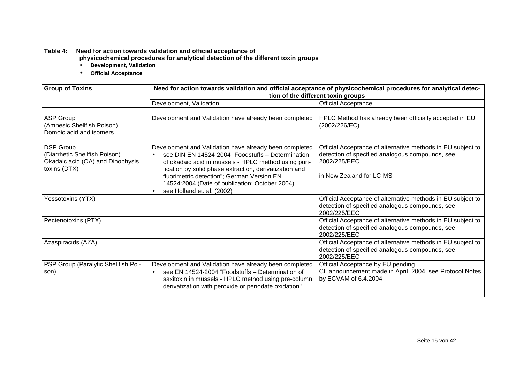#### **Table 4: Need for action towards validation and official acceptance of**

**physicochemical procedures for analytical detection of the different toxin groups** • **Development, Validation**

- 
- **Official Acceptance**

| <b>Group of Toxins</b>                                                                                | Need for action towards validation and official acceptance of physicochemical procedures for analytical detec-<br>tion of the different toxin groups                                                                                                                                                                                                        |                                                                                                                                                            |  |  |
|-------------------------------------------------------------------------------------------------------|-------------------------------------------------------------------------------------------------------------------------------------------------------------------------------------------------------------------------------------------------------------------------------------------------------------------------------------------------------------|------------------------------------------------------------------------------------------------------------------------------------------------------------|--|--|
|                                                                                                       | Development, Validation                                                                                                                                                                                                                                                                                                                                     | <b>Official Acceptance</b>                                                                                                                                 |  |  |
| <b>ASP Group</b><br>(Amnesic Shellfish Poison)<br>Domoic acid and isomers                             | Development and Validation have already been completed                                                                                                                                                                                                                                                                                                      | HPLC Method has already been officially accepted in EU<br>(2002/226/EC)                                                                                    |  |  |
| <b>DSP Group</b><br>(Diarrhetic Shellfish Poison)<br>Okadaic acid (OA) and Dinophysis<br>toxins (DTX) | Development and Validation have already been completed<br>see DIN EN 14524-2004 "Foodstuffs - Determination<br>of okadaic acid in mussels - HPLC method using puri-<br>fication by solid phase extraction, derivatization and<br>fluorimetric detection"; German Version EN<br>14524:2004 (Date of publication: October 2004)<br>see Holland et. al. (2002) | Official Acceptance of alternative methods in EU subject to<br>detection of specified analogous compounds, see<br>2002/225/EEC<br>in New Zealand for LC-MS |  |  |
| Yessotoxins (YTX)                                                                                     |                                                                                                                                                                                                                                                                                                                                                             | Official Acceptance of alternative methods in EU subject to<br>detection of specified analogous compounds, see<br>2002/225/EEC                             |  |  |
| Pectenotoxins (PTX)                                                                                   |                                                                                                                                                                                                                                                                                                                                                             | Official Acceptance of alternative methods in EU subject to<br>detection of specified analogous compounds, see<br>2002/225/EEC                             |  |  |
| Azaspiracids (AZA)                                                                                    |                                                                                                                                                                                                                                                                                                                                                             | Official Acceptance of alternative methods in EU subject to<br>detection of specified analogous compounds, see<br>2002/225/EEC                             |  |  |
| PSP Group (Paralytic Shellfish Poi-<br>son)                                                           | Development and Validation have already been completed<br>see EN 14524-2004 "Foodstuffs - Determination of<br>saxitoxin in mussels - HPLC method using pre-column<br>derivatization with peroxide or periodate oxidation"                                                                                                                                   | Official Acceptance by EU pending<br>Cf. announcement made in April, 2004, see Protocol Notes<br>by ECVAM of 6.4.2004                                      |  |  |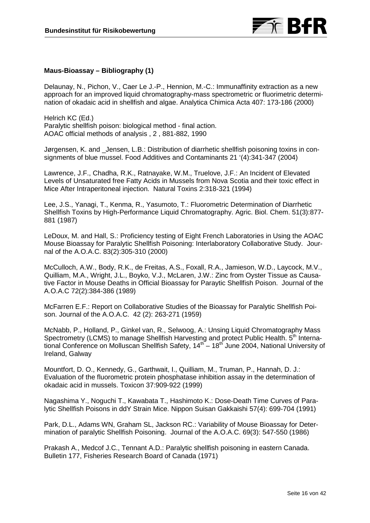

#### **Maus-Bioassay – Bibliography (1)**

Delaunay, N., Pichon, V., Caer Le J.-P., Hennion, M.-C.: Immunaffinity extraction as a new approach for an improved liquid chromatography-mass spectrometric or fluorimetric determination of okadaic acid in shellfish and algae. Analytica Chimica Acta 407: 173-186 (2000)

Helrich KC (Ed.) Paralytic shellfish poison: biological method - final action. AOAC official methods of analysis , 2 , 881-882, 1990

Jørgensen, K. and \_Jensen, L.B.: Distribution of diarrhetic shellfish poisoning toxins in consignments of blue mussel. Food Additives and Contaminants 21 '(4):341-347 (2004)

Lawrence, J.F., Chadha, R.K., Ratnayake, W.M., Truelove, J.F.: An Incident of Elevated Levels of Unsaturated free Fatty Acids in Mussels from Nova Scotia and their toxic effect in Mice After Intraperitoneal injection. Natural Toxins 2:318-321 (1994)

Lee, J.S., Yanagi, T., Kenma, R., Yasumoto, T.: Fluorometric Determination of Diarrhetic Shellfish Toxins by High-Performance Liquid Chromatography. Agric. Biol. Chem. 51(3):877- 881 (1987)

LeDoux, M. and Hall, S.: Proficiency testing of Eight French Laboratories in Using the AOAC Mouse Bioassay for Paralytic Shellfish Poisoning: Interlaboratory Collaborative Study. Journal of the A.O.A.C. 83(2):305-310 (2000)

McCulloch, A.W., Body, R.K., de Freitas, A.S., Foxall, R.A., Jamieson, W.D., Laycock, M.V., Quilliam, M.A., Wright, J.L., Boyko, V.J., McLaren, J.W.: Zinc from Oyster Tissue as Causative Factor in Mouse Deaths in Official Bioassay for Paraytic Shellfish Poison. Journal of the A.O.A.C 72(2):384-386 (1989)

McFarren E.F.: Report on Collaborative Studies of the Bioassay for Paralytic Shellfish Poison. Journal of the A.O.A.C. 42 (2): 263-271 (1959)

McNabb, P., Holland, P., Ginkel van, R., Selwoog, A.: Unsing Liquid Chromatography Mass Spectrometry (LCMS) to manage Shellfish Harvesting and protect Public Health. 5<sup>th</sup> International Conference on Molluscan Shellfish Safety,  $14<sup>th</sup> - 18<sup>th</sup>$  June 2004, National University of Ireland, Galway

Mountfort, D. O., Kennedy, G., Garthwait, I., Quilliam, M., Truman, P., Hannah, D. J.: Evaluation of the fluorometric protein phosphatase inhibition assay in the determination of okadaic acid in mussels. Toxicon 37:909-922 (1999)

Nagashima Y., Noguchi T., Kawabata T., Hashimoto K.: Dose-Death Time Curves of Paralytic Shellfish Poisons in ddY Strain Mice. Nippon Suisan Gakkaishi 57(4): 699-704 (1991)

Park, D.L., Adams WN, Graham SL, Jackson RC.: Variability of Mouse Bioassay for Determination of paralytic Shellfish Poisoning. Journal of the A.O.A.C. 69(3): 547-550 (1986)

Prakash A., Medcof J.C., Tennant A.D.: Paralytic shellfish poisoning in eastern Canada. Bulletin 177, Fisheries Research Board of Canada (1971)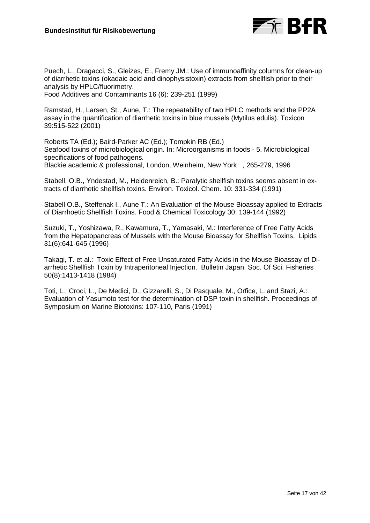

Puech, L., Dragacci, S., Gleizes, E., Fremy JM.: Use of immunoaffinity columns for clean-up of diarrhetic toxins (okadaic acid and dinophysistoxin) extracts from shellfish prior to their analysis by HPLC/fluorimetry.

Food Additives and Contaminants 16 (6): 239-251 (1999)

Ramstad, H., Larsen, St., Aune, T.: The repeatability of two HPLC methods and the PP2A assay in the quantification of diarrhetic toxins in blue mussels (Mytilus edulis). Toxicon 39:515-522 (2001)

Roberts TA (Ed.); Baird-Parker AC (Ed.); Tompkin RB (Ed.) Seafood toxins of microbiological origin. In: Microorganisms in foods - 5. Microbiological specifications of food pathogens. Blackie academic & professional, London, Weinheim, New York , 265-279, 1996

Stabell, O.B., Yndestad, M., Heidenreich, B.: Paralytic shellfish toxins seems absent in extracts of diarrhetic shellfish toxins. Environ. Toxicol. Chem. 10: 331-334 (1991)

Stabell O.B., Steffenak I., Aune T.: An Evaluation of the Mouse Bioassay applied to Extracts of Diarrhoetic Shellfish Toxins. Food & Chemical Toxicology 30: 139-144 (1992)

Suzuki, T., Yoshizawa, R., Kawamura, T., Yamasaki, M.: Interference of Free Fatty Acids from the Hepatopancreas of Mussels with the Mouse Bioassay for Shellfish Toxins. Lipids 31(6):641-645 (1996)

Takagi, T. et al.: Toxic Effect of Free Unsaturated Fatty Acids in the Mouse Bioassay of Diarrhetic Shellfish Toxin by Intraperitoneal Injection. Bulletin Japan. Soc. Of Sci. Fisheries 50(8):1413-1418 (1984)

Toti, L., Croci, L., De Medici, D., Gizzarelli, S., Di Pasquale, M., Orfice, L. and Stazi, A.: Evaluation of Yasumoto test for the determination of DSP toxin in shellfish. Proceedings of Symposium on Marine Biotoxins: 107-110, Paris (1991)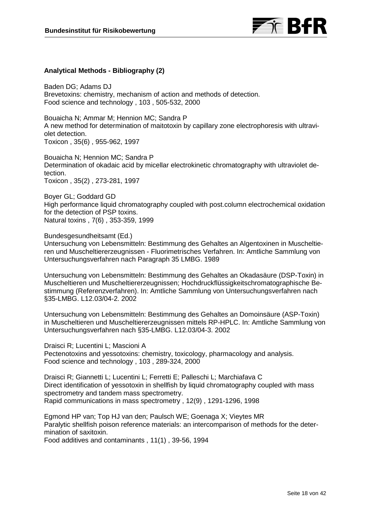

# **Analytical Methods - Bibliography (2)**

Baden DG; Adams DJ Brevetoxins: chemistry, mechanism of action and methods of detection. Food science and technology , 103 , 505-532, 2000

Bouaicha N; Ammar M; Hennion MC; Sandra P A new method for determination of maitotoxin by capillary zone electrophoresis with ultraviolet detection. Toxicon , 35(6) , 955-962, 1997

Bouaicha N; Hennion MC; Sandra P Determination of okadaic acid by micellar electrokinetic chromatography with ultraviolet detection. Toxicon , 35(2) , 273-281, 1997

Boyer GL; Goddard GD High performance liquid chromatography coupled with post.column electrochemical oxidation for the detection of PSP toxins. Natural toxins , 7(6) , 353-359, 1999

Bundesgesundheitsamt (Ed.)

Untersuchung von Lebensmitteln: Bestimmung des Gehaltes an Algentoxinen in Muscheltieren und Muscheltiererzeugnissen - Fluorimetrisches Verfahren. In: Amtliche Sammlung von Untersuchungsverfahren nach Paragraph 35 LMBG. 1989

Untersuchung von Lebensmitteln: Bestimmung des Gehaltes an Okadasäure (DSP-Toxin) in Muscheltieren und Muscheltiererzeugnissen; Hochdruckflüssigkeitschromatographische Bestimmung (Referenzverfahren). In: Amtliche Sammlung von Untersuchungsverfahren nach §35-LMBG. L12.03/04-2. 2002

Untersuchung von Lebensmitteln: Bestimmung des Gehaltes an Domoinsäure (ASP-Toxin) in Muscheltieren und Muscheltiererzeugnissen mittels RP-HPLC. In: Amtliche Sammlung von Untersuchungsverfahren nach §35-LMBG. L12.03/04-3. 2002

Draisci R; Lucentini L; Mascioni A Pectenotoxins and yessotoxins: chemistry, toxicology, pharmacology and analysis. Food science and technology , 103 , 289-324, 2000

Draisci R; Giannetti L; Lucentini L; Ferretti E; Palleschi L; Marchiafava C Direct identification of yessotoxin in shellfish by liquid chromatography coupled with mass spectrometry and tandem mass spectrometry. Rapid communications in mass spectrometry , 12(9) , 1291-1296, 1998

Egmond HP van; Top HJ van den; Paulsch WE; Goenaga X; Vieytes MR Paralytic shellfish poison reference materials: an intercomparison of methods for the determination of saxitoxin.

Food additives and contaminants , 11(1) , 39-56, 1994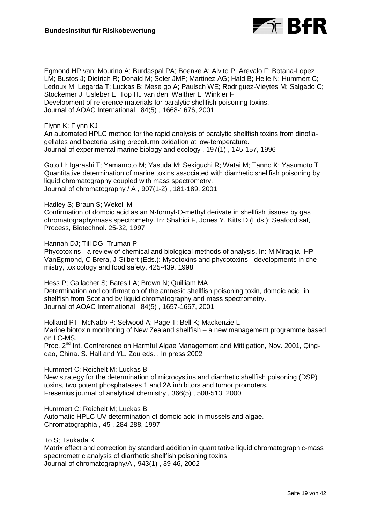

Egmond HP van; Mourino A; Burdaspal PA; Boenke A; Alvito P; Arevalo F; Botana-Lopez LM; Bustos J; Dietrich R; Donald M; Soler JMF; Martinez AG; Hald B; Helle N; Hummert C; Ledoux M; Legarda T; Luckas B; Mese go A; Paulsch WE; Rodriguez-Vieytes M; Salgado C; Stockemer J; Usleber E; Top HJ van den; Walther L; Winkler F Development of reference materials for paralytic shellfish poisoning toxins. Journal of AOAC International , 84(5) , 1668-1676, 2001

Flynn K; Flynn KJ

An automated HPLC method for the rapid analysis of paralytic shellfish toxins from dinoflagellates and bacteria using precolumn oxidation at low-temperature. Journal of experimental marine biology and ecology , 197(1) , 145-157, 1996

Goto H; Igarashi T; Yamamoto M; Yasuda M; Sekiguchi R; Watai M; Tanno K; Yasumoto T Quantitative determination of marine toxins associated with diarrhetic shellfish poisoning by liquid chromatography coupled with mass spectrometry. Journal of chromatography / A , 907(1-2) , 181-189, 2001

Hadley S; Braun S; Wekell M

Confirmation of domoic acid as an N-formyl-O-methyl derivate in shellfish tissues by gas chromatography/mass spectrometry. In: Shahidi F, Jones Y, Kitts D (Eds.): Seafood saf, Process, Biotechnol. 25-32, 1997

Hannah DJ; Till DG; Truman P

Phycotoxins - a review of chemical and biological methods of analysis. In: M Miraglia, HP VanEgmond, C Brera, J Gilbert (Eds.): Mycotoxins and phycotoxins - developments in chemistry, toxicology and food safety. 425-439, 1998

Hess P; Gallacher S; Bates LA; Brown N; Quilliam MA Determination and confirmation of the amnesic shellfish poisoning toxin, domoic acid, in shellfish from Scotland by liquid chromatography and mass spectrometry. Journal of AOAC International , 84(5) , 1657-1667, 2001

Holland PT; McNabb P: Selwood A; Page T; Bell K; Mackenzie L Marine biotoxin monitoring of New Zealand shellfish – a new management programme based on LC-MS.

Proc. 2<sup>nd</sup> Int. Confrerence on Harmful Algae Management and Mittigation, Nov. 2001, Qingdao, China. S. Hall and YL. Zou eds. , In press 2002

Hummert C; Reichelt M; Luckas B

New strategy for the determination of microcystins and diarrhetic shellfish poisoning (DSP) toxins, two potent phosphatases 1 and 2A inhibitors and tumor promoters. Fresenius journal of analytical chemistry , 366(5) , 508-513, 2000

Hummert C; Reichelt M; Luckas B

Automatic HPLC-UV determination of domoic acid in mussels and algae. Chromatographia , 45 , 284-288, 1997

Ito S; Tsukada K

Matrix effect and correction by standard addition in quantitative liquid chromatographic-mass spectrometric analysis of diarrhetic shellfish poisoning toxins. Journal of chromatography/A , 943(1) , 39-46, 2002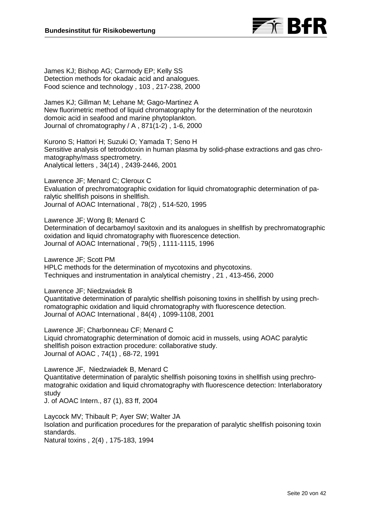

James KJ; Bishop AG; Carmody EP; Kelly SS Detection methods for okadaic acid and analogues. Food science and technology , 103 , 217-238, 2000

James KJ; Gillman M; Lehane M; Gago-Martinez A New fluorimetric method of liquid chromatography for the determination of the neurotoxin domoic acid in seafood and marine phytoplankton. Journal of chromatography / A , 871(1-2) , 1-6, 2000

Kurono S; Hattori H; Suzuki O; Yamada T; Seno H Sensitive analysis of tetrodotoxin in human plasma by solid-phase extractions and gas chromatography/mass spectrometry. Analytical letters , 34(14) , 2439-2446, 2001

Lawrence JF; Menard C; Cleroux C Evaluation of prechromatographic oxidation for liquid chromatographic determination of paralytic shellfish poisons in shellfish. Journal of AOAC International , 78(2) , 514-520, 1995

Lawrence JF; Wong B; Menard C

Determination of decarbamoyl saxitoxin and its analogues in shellfish by prechromatographic oxidation and liquid chromatography with fluorescence detection. Journal of AOAC International , 79(5) , 1111-1115, 1996

Lawrence JF; Scott PM HPLC methods for the determination of mycotoxins and phycotoxins. Techniques and instrumentation in analytical chemistry , 21 , 413-456, 2000

Lawrence JF; Niedzwiadek B

Quantitative determination of paralytic shellfish poisoning toxins in shellfish by using prechromatographic oxidation and liquid chromatography with fluorescence detection. Journal of AOAC International , 84(4) , 1099-1108, 2001

Lawrence JF; Charbonneau CF; Menard C Liquid chromatographic determination of domoic acid in mussels, using AOAC paralytic shellfish poison extraction procedure: collaborative study. Journal of AOAC , 74(1) , 68-72, 1991

Lawrence JF, Niedzwiadek B, Menard C Quantitative determination of paralytic shellfish poisoning toxins in shellfish using prechromatograhic oxidation and liquid chromatography with fluorescence detection: Interlaboratory study

J. of AOAC Intern., 87 (1), 83 ff, 2004

Laycock MV; Thibault P; Ayer SW; Walter JA Isolation and purification procedures for the preparation of paralytic shellfish poisoning toxin standards.

Natural toxins , 2(4) , 175-183, 1994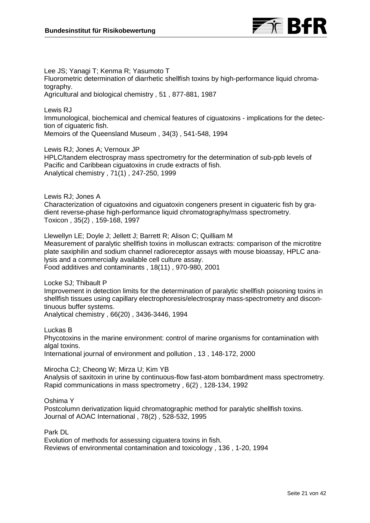

Lee JS; Yanagi T; Kenma R; Yasumoto T Fluorometric determination of diarrhetic shellfish toxins by high-performance liquid chromatography. Agricultural and biological chemistry , 51 , 877-881, 1987

Lewis RJ Immunological, biochemical and chemical features of ciguatoxins - implications for the detection of ciguateric fish. Memoirs of the Queensland Museum , 34(3) , 541-548, 1994

Lewis RJ; Jones A; Vernoux JP

HPLC/tandem electrospray mass spectrometry for the determination of sub-ppb levels of Pacific and Caribbean ciguatoxins in crude extracts of fish. Analytical chemistry , 71(1) , 247-250, 1999

Lewis RJ; Jones A Characterization of ciguatoxins and ciguatoxin congeners present in ciguateric fish by gradient reverse-phase high-performance liquid chromatography/mass spectrometry. Toxicon , 35(2) , 159-168, 1997

Llewellyn LE; Doyle J; Jellett J; Barrett R; Alison C; Quilliam M Measurement of paralytic shellfish toxins in molluscan extracts: comparison of the microtitre plate saxiphilin and sodium channel radioreceptor assays with mouse bioassay, HPLC analysis and a commercially available cell culture assay. Food additives and contaminants , 18(11) , 970-980, 2001

Locke SJ; Thibault P Improvement in detection limits for the determination of paralytic shellfish poisoning toxins in shellfish tissues using capillary electrophoresis/electrospray mass-spectrometry and discontinuous buffer systems. Analytical chemistry , 66(20) , 3436-3446, 1994

Luckas B Phycotoxins in the marine environment: control of marine organisms for contamination with algal toxins. International journal of environment and pollution , 13 , 148-172, 2000

Mirocha CJ; Cheong W; Mirza U; Kim YB Analysis of saxitoxin in urine by continuous-flow fast-atom bombardment mass spectrometry. Rapid communications in mass spectrometry , 6(2) , 128-134, 1992

Oshima Y

Postcolumn derivatization liquid chromatographic method for paralytic shellfish toxins. Journal of AOAC International , 78(2) , 528-532, 1995

Park DL

Evolution of methods for assessing ciguatera toxins in fish. Reviews of environmental contamination and toxicology , 136 , 1-20, 1994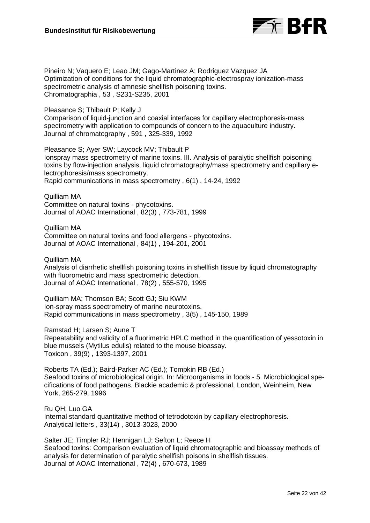

Pineiro N; Vaquero E; Leao JM; Gago-Martinez A; Rodriguez Vazquez JA Optimization of conditions for the liquid chromatographic-electrospray ionization-mass spectrometric analysis of amnesic shellfish poisoning toxins. Chromatographia , 53 , S231-S235, 2001

Pleasance S; Thibault P; Kelly J

Comparison of liquid-junction and coaxial interfaces for capillary electrophoresis-mass spectrometry with application to compounds of concern to the aquaculture industry. Journal of chromatography , 591 , 325-339, 1992

Pleasance S; Ayer SW; Laycock MV; Thibault P Ionspray mass spectrometry of marine toxins. III. Analysis of paralytic shellfish poisoning toxins by flow-injection analysis, liquid chromatography/mass spectrometry and capillary electrophoresis/mass spectrometry. Rapid communications in mass spectrometry , 6(1) , 14-24, 1992

Quilliam MA Committee on natural toxins - phycotoxins. Journal of AOAC International , 82(3) , 773-781, 1999

Quilliam MA Committee on natural toxins and food allergens - phycotoxins. Journal of AOAC International , 84(1) , 194-201, 2001

Quilliam MA Analysis of diarrhetic shellfish poisoning toxins in shellfish tissue by liquid chromatography with fluorometric and mass spectrometric detection. Journal of AOAC International , 78(2) , 555-570, 1995

Quilliam MA; Thomson BA; Scott GJ; Siu KWM Ion-spray mass spectrometry of marine neurotoxins. Rapid communications in mass spectrometry , 3(5) , 145-150, 1989

Ramstad H; Larsen S; Aune T Repeatability and validity of a fluorimetric HPLC method in the quantification of yessotoxin in blue mussels (Mytilus edulis) related to the mouse bioassay. Toxicon , 39(9) , 1393-1397, 2001

Roberts TA (Ed.); Baird-Parker AC (Ed.); Tompkin RB (Ed.) Seafood toxins of microbiological origin. In: Microorganisms in foods - 5. Microbiological specifications of food pathogens. Blackie academic & professional, London, Weinheim, New York, 265-279, 1996

Ru QH; Luo GA Internal standard quantitative method of tetrodotoxin by capillary electrophoresis. Analytical letters , 33(14) , 3013-3023, 2000

Salter JE; Timpler RJ; Hennigan LJ; Sefton L; Reece H Seafood toxins: Comparison evaluation of liquid chromatographic and bioassay methods of analysis for determination of paralytic shellfish poisons in shellfish tissues. Journal of AOAC International , 72(4) , 670-673, 1989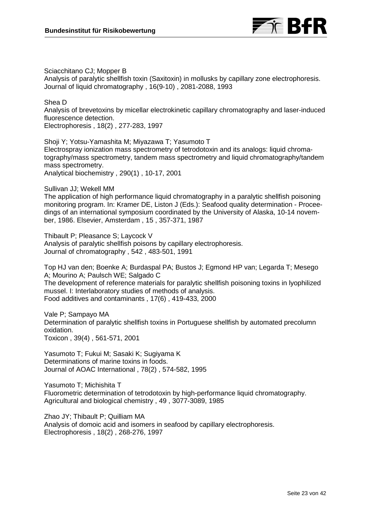

Sciacchitano CJ; Mopper B

Analysis of paralytic shellfish toxin (Saxitoxin) in mollusks by capillary zone electrophoresis. Journal of liquid chromatography , 16(9-10) , 2081-2088, 1993

Shea D Analysis of brevetoxins by micellar electrokinetic capillary chromatography and laser-induced fluorescence detection. Electrophoresis , 18(2) , 277-283, 1997

Shoji Y; Yotsu-Yamashita M; Miyazawa T; Yasumoto T Electrospray ionization mass spectrometry of tetrodotoxin and its analogs: liquid chromatography/mass spectrometry, tandem mass spectrometry and liquid chromatography/tandem mass spectrometry. Analytical biochemistry , 290(1) , 10-17, 2001

Sullivan JJ; Wekell MM

The application of high performance liquid chromatography in a paralytic shellfish poisoning monitoring program. In: Kramer DE, Liston J (Eds.): Seafood quality determination - Proceedings of an international symposium coordinated by the University of Alaska, 10-14 november, 1986. Elsevier, Amsterdam , 15 , 357-371, 1987

Thibault P; Pleasance S; Laycock V Analysis of paralytic shellfish poisons by capillary electrophoresis. Journal of chromatography , 542 , 483-501, 1991

Top HJ van den; Boenke A; Burdaspal PA; Bustos J; Egmond HP van; Legarda T; Mesego A; Mourino A; Paulsch WE; Salgado C The development of reference materials for paralytic shellfish poisoning toxins in lyophilized mussel. I: Interlaboratory studies of methods of analysis. Food additives and contaminants , 17(6) , 419-433, 2000

Vale P; Sampayo MA Determination of paralytic shellfish toxins in Portuguese shellfish by automated precolumn oxidation. Toxicon , 39(4) , 561-571, 2001

Yasumoto T; Fukui M; Sasaki K; Sugiyama K Determinations of marine toxins in foods. Journal of AOAC International , 78(2) , 574-582, 1995

Yasumoto T; Michishita T Fluorometric determination of tetrodotoxin by high-performance liquid chromatography. Agricultural and biological chemistry , 49 , 3077-3089, 1985

Zhao JY; Thibault P; Quilliam MA Analysis of domoic acid and isomers in seafood by capillary electrophoresis. Electrophoresis , 18(2) , 268-276, 1997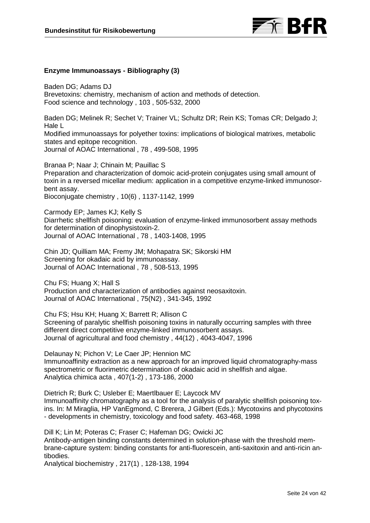

#### **Enzyme Immunoassays - Bibliography (3)**

Baden DG; Adams DJ Brevetoxins: chemistry, mechanism of action and methods of detection. Food science and technology , 103 , 505-532, 2000

Baden DG; Melinek R; Sechet V; Trainer VL; Schultz DR; Rein KS; Tomas CR; Delgado J; Hale L

Modified immunoassays for polyether toxins: implications of biological matrixes, metabolic states and epitope recognition.

Journal of AOAC International , 78 , 499-508, 1995

Branaa P; Naar J; Chinain M; Pauillac S Preparation and characterization of domoic acid-protein conjugates using small amount of toxin in a reversed micellar medium: application in a competitive enzyme-linked immunosorbent assay.

Bioconjugate chemistry , 10(6) , 1137-1142, 1999

Carmody EP; James KJ; Kelly S Diarrhetic shellfish poisoning: evaluation of enzyme-linked immunosorbent assay methods for determination of dinophysistoxin-2. Journal of AOAC International , 78 , 1403-1408, 1995

Chin JD; Quilliam MA; Fremy JM; Mohapatra SK; Sikorski HM Screening for okadaic acid by immunoassay. Journal of AOAC International , 78 , 508-513, 1995

Chu FS; Huang X; Hall S Production and characterization of antibodies against neosaxitoxin. Journal of AOAC International , 75(N2) , 341-345, 1992

Chu FS; Hsu KH; Huang X; Barrett R; Allison C Screening of paralytic shellfish poisoning toxins in naturally occurring samples with three different direct competitive enzyme-linked immunosorbent assays. Journal of agricultural and food chemistry , 44(12) , 4043-4047, 1996

Delaunay N; Pichon V; Le Caer JP; Hennion MC Immunoaffinity extraction as a new approach for an improved liquid chromatography-mass spectrometric or fluorimetric determination of okadaic acid in shellfish and algae. Analytica chimica acta , 407(1-2) , 173-186, 2000

Dietrich R; Burk C; Usleber E; Maertlbauer E; Laycock MV Immunoaffinity chromatography as a tool for the analysis of paralytic shellfish poisoning toxins. In: M Miraglia, HP VanEgmond, C Brerera, J Gilbert (Eds.): Mycotoxins and phycotoxins - developments in chemistry, toxicology and food safety. 463-468, 1998

Dill K; Lin M; Poteras C; Fraser C; Hafeman DG; Owicki JC Antibody-antigen binding constants determined in solution-phase with the threshold membrane-capture system: binding constants for anti-fluorescein, anti-saxitoxin and anti-ricin antibodies.

Analytical biochemistry , 217(1) , 128-138, 1994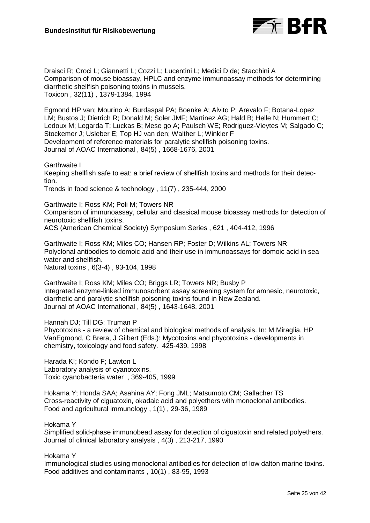

Draisci R; Croci L; Giannetti L; Cozzi L; Lucentini L; Medici D de; Stacchini A Comparison of mouse bioassay, HPLC and enzyme immunoassay methods for determining diarrhetic shellfish poisoning toxins in mussels. Toxicon , 32(11) , 1379-1384, 1994

Egmond HP van; Mourino A; Burdaspal PA; Boenke A; Alvito P; Arevalo F; Botana-Lopez LM; Bustos J; Dietrich R; Donald M; Soler JMF; Martinez AG; Hald B; Helle N; Hummert C; Ledoux M; Legarda T; Luckas B; Mese go A; Paulsch WE; Rodriguez-Vieytes M; Salgado C; Stockemer J; Usleber E; Top HJ van den; Walther L; Winkler F Development of reference materials for paralytic shellfish poisoning toxins. Journal of AOAC International , 84(5) , 1668-1676, 2001

Garthwaite I

Keeping shellfish safe to eat: a brief review of shellfish toxins and methods for their detection.

Trends in food science & technology , 11(7) , 235-444, 2000

Garthwaite I; Ross KM; Poli M; Towers NR Comparison of immunoassay, cellular and classical mouse bioassay methods for detection of neurotoxic shellfish toxins. ACS (American Chemical Society) Symposium Series , 621 , 404-412, 1996

Garthwaite I; Ross KM; Miles CO; Hansen RP; Foster D; Wilkins AL; Towers NR Polyclonal antibodies to domoic acid and their use in immunoassays for domoic acid in sea water and shellfish. Natural toxins , 6(3-4) , 93-104, 1998

Garthwaite I; Ross KM; Miles CO; Briggs LR; Towers NR; Busby P Integrated enzyme-linked immunosorbent assay screening system for amnesic, neurotoxic, diarrhetic and paralytic shellfish poisoning toxins found in New Zealand. Journal of AOAC International , 84(5) , 1643-1648, 2001

Hannah DJ; Till DG; Truman P

Phycotoxins - a review of chemical and biological methods of analysis. In: M Miraglia, HP VanEgmond, C Brera, J Gilbert (Eds.): Mycotoxins and phycotoxins - developments in chemistry, toxicology and food safety. 425-439, 1998

Harada KI; Kondo F; Lawton L Laboratory analysis of cyanotoxins. Toxic cyanobacteria water , 369-405, 1999

Hokama Y; Honda SAA; Asahina AY; Fong JML; Matsumoto CM; Gallacher TS Cross-reactivity of ciguatoxin, okadaic acid and polyethers with monoclonal antibodies. Food and agricultural immunology , 1(1) , 29-36, 1989

Hokama Y

Simplified solid-phase immunobead assay for detection of ciguatoxin and related polyethers. Journal of clinical laboratory analysis , 4(3) , 213-217, 1990

Hokama Y

Immunological studies using monoclonal antibodies for detection of low dalton marine toxins. Food additives and contaminants , 10(1) , 83-95, 1993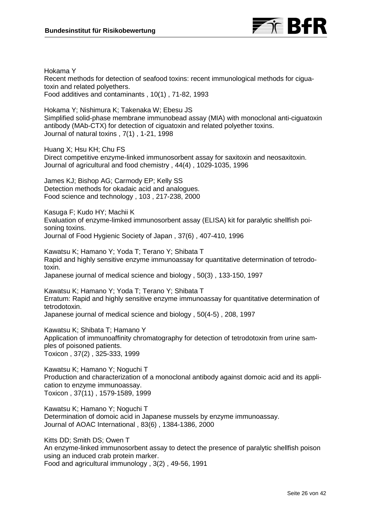

Hokama Y Recent methods for detection of seafood toxins: recent immunological methods for ciguatoxin and related polyethers. Food additives and contaminants , 10(1) , 71-82, 1993

Hokama Y; Nishimura K; Takenaka W; Ebesu JS Simplified solid-phase membrane immunobead assay (MIA) with monoclonal anti-ciguatoxin antibody (MAb-CTX) for detection of ciguatoxin and related polyether toxins. Journal of natural toxins , 7(1) , 1-21, 1998

Huang X; Hsu KH; Chu FS

Direct competitive enzyme-linked immunosorbent assay for saxitoxin and neosaxitoxin. Journal of agricultural and food chemistry , 44(4) , 1029-1035, 1996

James KJ; Bishop AG; Carmody EP; Kelly SS Detection methods for okadaic acid and analogues. Food science and technology , 103 , 217-238, 2000

Kasuga F; Kudo HY; Machii K Evaluation of enzyme-limked immunosorbent assay (ELISA) kit for paralytic shellfish poisoning toxins. Journal of Food Hygienic Society of Japan , 37(6) , 407-410, 1996

Kawatsu K; Hamano Y; Yoda T; Terano Y; Shibata T Rapid and highly sensitive enzyme immunoassay for quantitative determination of tetrodotoxin.

Japanese journal of medical science and biology , 50(3) , 133-150, 1997

Kawatsu K; Hamano Y; Yoda T; Terano Y; Shibata T Erratum: Rapid and highly sensitive enzyme immunoassay for quantitative determination of tetrodotoxin. Japanese journal of medical science and biology , 50(4-5) , 208, 1997

Kawatsu K; Shibata T; Hamano Y Application of immunoaffinity chromatography for detection of tetrodotoxin from urine samples of poisoned patients. Toxicon , 37(2) , 325-333, 1999

Kawatsu K; Hamano Y; Noguchi T Production and characterization of a monoclonal antibody against domoic acid and its application to enzyme immunoassay. Toxicon , 37(11) , 1579-1589, 1999

Kawatsu K; Hamano Y; Noguchi T Determination of domoic acid in Japanese mussels by enzyme immunoassay. Journal of AOAC International , 83(6) , 1384-1386, 2000

Kitts DD; Smith DS; Owen T An enzyme-linked immunosorbent assay to detect the presence of paralytic shellfish poison using an induced crab protein marker. Food and agricultural immunology , 3(2) , 49-56, 1991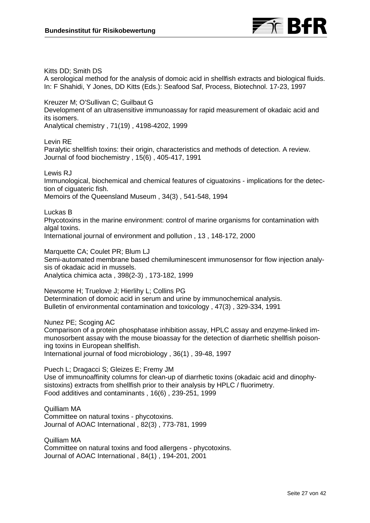

Kitts DD; Smith DS A serological method for the analysis of domoic acid in shellfish extracts and biological fluids. In: F Shahidi, Y Jones, DD Kitts (Eds.): Seafood Saf, Process, Biotechnol. 17-23, 1997

Kreuzer M; O'Sullivan C; Guilbaut G Development of an ultrasensitive immunoassay for rapid measurement of okadaic acid and its isomers. Analytical chemistry , 71(19) , 4198-4202, 1999

Levin RE

Paralytic shellfish toxins: their origin, characteristics and methods of detection. A review. Journal of food biochemistry , 15(6) , 405-417, 1991

Lewis RJ

Immunological, biochemical and chemical features of ciguatoxins - implications for the detection of ciguateric fish.

Memoirs of the Queensland Museum , 34(3) , 541-548, 1994

Luckas B

Phycotoxins in the marine environment: control of marine organisms for contamination with algal toxins.

International journal of environment and pollution , 13 , 148-172, 2000

Marquette CA; Coulet PR; Blum LJ

Semi-automated membrane based chemiluminescent immunosensor for flow injection analysis of okadaic acid in mussels. Analytica chimica acta , 398(2-3) , 173-182, 1999

Newsome H; Truelove J; Hierlihy L; Collins PG Determination of domoic acid in serum and urine by immunochemical analysis. Bulletin of environmental contamination and toxicology , 47(3) , 329-334, 1991

Nunez PE; Scoging AC

Comparison of a protein phosphatase inhibition assay, HPLC assay and enzyme-linked immunosorbent assay with the mouse bioassay for the detection of diarrhetic shellfish poisoning toxins in European shellfish.

International journal of food microbiology , 36(1) , 39-48, 1997

Puech L; Dragacci S; Gleizes E; Fremy JM Use of immunoaffinity columns for clean-up of diarrhetic toxins (okadaic acid and dinophysistoxins) extracts from shellfish prior to their analysis by HPLC / fluorimetry. Food additives and contaminants , 16(6) , 239-251, 1999

Quilliam MA Committee on natural toxins - phycotoxins. Journal of AOAC International , 82(3) , 773-781, 1999

Quilliam MA Committee on natural toxins and food allergens - phycotoxins. Journal of AOAC International , 84(1) , 194-201, 2001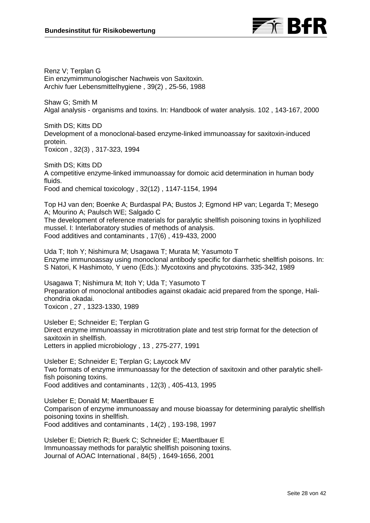

Renz V; Terplan G Ein enzymimmunologischer Nachweis von Saxitoxin. Archiv fuer Lebensmittelhygiene , 39(2) , 25-56, 1988

Shaw G; Smith M Algal analysis - organisms and toxins. In: Handbook of water analysis. 102 , 143-167, 2000

Smith DS; Kitts DD Development of a monoclonal-based enzyme-linked immunoassay for saxitoxin-induced protein. Toxicon , 32(3) , 317-323, 1994

Smith DS; Kitts DD A competitive enzyme-linked immunoassay for domoic acid determination in human body fluids. Food and chemical toxicology , 32(12) , 1147-1154, 1994

Top HJ van den; Boenke A; Burdaspal PA; Bustos J; Egmond HP van; Legarda T; Mesego A; Mourino A; Paulsch WE; Salgado C

The development of reference materials for paralytic shellfish poisoning toxins in lyophilized mussel. I: Interlaboratory studies of methods of analysis. Food additives and contaminants , 17(6) , 419-433, 2000

Uda T; Itoh Y; Nishimura M; Usagawa T; Murata M; Yasumoto T Enzyme immunoassay using monoclonal antibody specific for diarrhetic shellfish poisons. In: S Natori, K Hashimoto, Y ueno (Eds.): Mycotoxins and phycotoxins. 335-342, 1989

Usagawa T; Nishimura M; Itoh Y; Uda T; Yasumoto T Preparation of monoclonal antibodies against okadaic acid prepared from the sponge, Halichondria okadai. Toxicon , 27 , 1323-1330, 1989

Usleber E; Schneider E; Terplan G Direct enzyme immunoassay in microtitration plate and test strip format for the detection of saxitoxin in shellfish. Letters in applied microbiology , 13 , 275-277, 1991

Usleber E; Schneider E; Terplan G; Laycock MV Two formats of enzyme immunoassay for the detection of saxitoxin and other paralytic shellfish poisoning toxins. Food additives and contaminants , 12(3) , 405-413, 1995

Usleber E; Donald M; Maertlbauer E Comparison of enzyme immunoassay and mouse bioassay for determining paralytic shellfish poisoning toxins in shellfish. Food additives and contaminants , 14(2) , 193-198, 1997

Usleber E; Dietrich R; Buerk C; Schneider E; Maertlbauer E Immunoassay methods for paralytic shellfish poisoning toxins. Journal of AOAC International , 84(5) , 1649-1656, 2001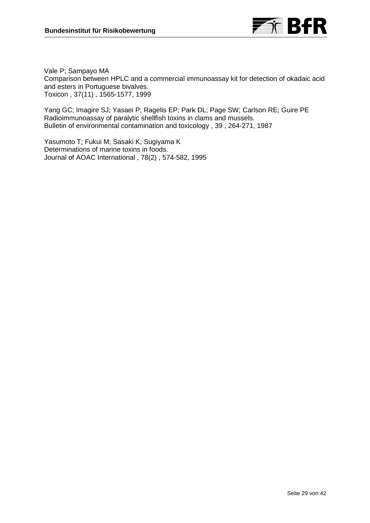

Vale P; Sampayo MA Comparison between HPLC and a commercial immunoassay kit for detection of okadaic acid and esters in Portuguese bivalves. Toxicon , 37(11) , 1565-1577, 1999

Yang GC; Imagire SJ; Yasaei P; Ragelis EP; Park DL; Page SW; Carlson RE; Guire PE Radioimmunoassay of paralytic shellfish toxins in clams and mussels. Bulletin of environmental contamination and toxicology , 39 , 264-271, 1987

Yasumoto T; Fukui M; Sasaki K; Sugiyama K Determinations of marine toxins in foods. Journal of AOAC International , 78(2) , 574-582, 1995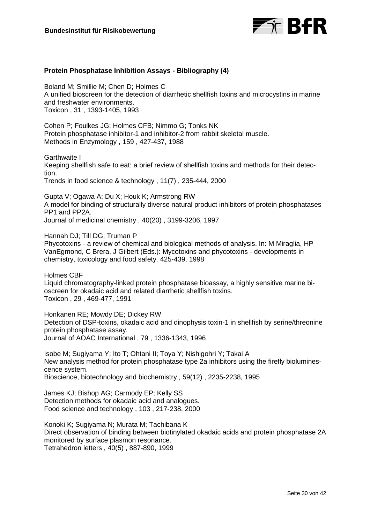

# **Protein Phosphatase Inhibition Assays - Bibliography (4)**

Boland M; Smillie M; Chen D; Holmes C A unified bioscreen for the detection of diarrhetic shellfish toxins and microcystins in marine and freshwater environments. Toxicon , 31 , 1393-1405, 1993

Cohen P; Foulkes JG; Holmes CFB; Nimmo G; Tonks NK Protein phosphatase inhibitor-1 and inhibitor-2 from rabbit skeletal muscle. Methods in Enzymology , 159 , 427-437, 1988

Garthwaite I

Keeping shellfish safe to eat: a brief review of shellfish toxins and methods for their detection.

Trends in food science & technology , 11(7) , 235-444, 2000

Gupta V; Ogawa A; Du X; Houk K; Armstrong RW A model for binding of structurally diverse natural product inhibitors of protein phosphatases PP1 and PP2A. Journal of medicinal chemistry , 40(20) , 3199-3206, 1997

Hannah DJ; Till DG; Truman P

Phycotoxins - a review of chemical and biological methods of analysis. In: M Miraglia, HP VanEgmond, C Brera, J Gilbert (Eds.): Mycotoxins and phycotoxins - developments in chemistry, toxicology and food safety. 425-439, 1998

Holmes CBF Liquid chromatography-linked protein phosphatase bioassay, a highly sensitive marine bioscreen for okadaic acid and related diarrhetic shellfish toxins. Toxicon , 29 , 469-477, 1991

Honkanen RE; Mowdy DE; Dickey RW Detection of DSP-toxins, okadaic acid and dinophysis toxin-1 in shellfish by serine/threonine protein phosphatase assay. Journal of AOAC International , 79 , 1336-1343, 1996

Isobe M; Sugiyama Y; Ito T; Ohtani II; Toya Y; Nishigohri Y; Takai A New analysis method for protein phosphatase type 2a inhibitors using the firefly bioluminescence system. Bioscience, biotechnology and biochemistry , 59(12) , 2235-2238, 1995

James KJ; Bishop AG; Carmody EP; Kelly SS Detection methods for okadaic acid and analogues. Food science and technology , 103 , 217-238, 2000

Konoki K; Sugiyama N; Murata M; Tachibana K Direct observation of binding between biotinylated okadaic acids and protein phosphatase 2A monitored by surface plasmon resonance. Tetrahedron letters , 40(5) , 887-890, 1999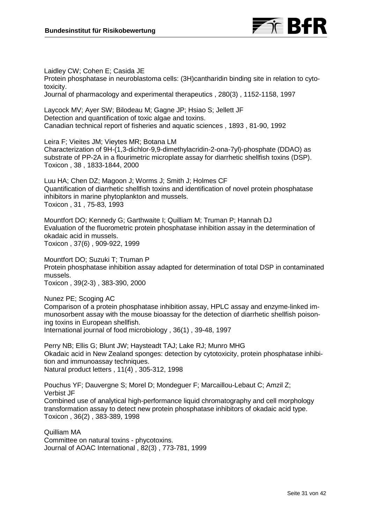

Laidley CW; Cohen E; Casida JE Protein phosphatase in neuroblastoma cells: (3H)cantharidin binding site in relation to cytotoxicity. Journal of pharmacology and experimental therapeutics , 280(3) , 1152-1158, 1997

Laycock MV; Ayer SW; Bilodeau M; Gagne JP; Hsiao S; Jellett JF Detection and quantification of toxic algae and toxins. Canadian technical report of fisheries and aquatic sciences , 1893 , 81-90, 1992

Leira F; Vieites JM; Vieytes MR; Botana LM Characterization of 9H-(1,3-dichlor-9,9-dimethylacridin-2-ona-7yl)-phosphate (DDAO) as substrate of PP-2A in a flourimetric microplate assay for diarrhetic shellfish toxins (DSP). Toxicon , 38 , 1833-1844, 2000

Luu HA; Chen DZ; Magoon J; Worms J; Smith J; Holmes CF Quantification of diarrhetic shellfish toxins and identification of novel protein phosphatase inhibitors in marine phytoplankton and mussels. Toxicon , 31 , 75-83, 1993

Mountfort DO; Kennedy G; Garthwaite I; Quilliam M; Truman P; Hannah DJ Evaluation of the fluorometric protein phosphatase inhibition assay in the determination of okadaic acid in mussels. Toxicon , 37(6) , 909-922, 1999

Mountfort DO; Suzuki T; Truman P Protein phosphatase inhibition assay adapted for determination of total DSP in contaminated mussels. Toxicon , 39(2-3) , 383-390, 2000

Nunez PE; Scoging AC Comparison of a protein phosphatase inhibition assay, HPLC assay and enzyme-linked immunosorbent assay with the mouse bioassay for the detection of diarrhetic shellfish poisoning toxins in European shellfish. International journal of food microbiology , 36(1) , 39-48, 1997

Perry NB; Ellis G; Blunt JW; Haysteadt TAJ; Lake RJ; Munro MHG Okadaic acid in New Zealand sponges: detection by cytotoxicity, protein phosphatase inhibition and immunoassay techniques. Natural product letters , 11(4) , 305-312, 1998

Pouchus YF; Dauvergne S; Morel D; Mondeguer F; Marcaillou-Lebaut C; Amzil Z; Verbist JF Combined use of analytical high-performance liquid chromatography and cell morphology transformation assay to detect new protein phosphatase inhibitors of okadaic acid type. Toxicon , 36(2) , 383-389, 1998

Quilliam MA Committee on natural toxins - phycotoxins. Journal of AOAC International , 82(3) , 773-781, 1999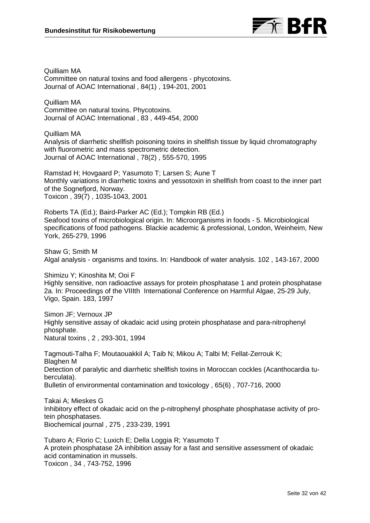

Quilliam MA Committee on natural toxins and food allergens - phycotoxins. Journal of AOAC International , 84(1) , 194-201, 2001

Quilliam MA Committee on natural toxins. Phycotoxins. Journal of AOAC International , 83 , 449-454, 2000

Quilliam MA Analysis of diarrhetic shellfish poisoning toxins in shellfish tissue by liquid chromatography with fluorometric and mass spectrometric detection. Journal of AOAC International , 78(2) , 555-570, 1995

Ramstad H; Hovgaard P; Yasumoto T; Larsen S; Aune T Monthly variations in diarrhetic toxins and yessotoxin in shellfish from coast to the inner part of the Sognefjord, Norway. Toxicon , 39(7) , 1035-1043, 2001

Roberts TA (Ed.); Baird-Parker AC (Ed.); Tompkin RB (Ed.) Seafood toxins of microbiological origin. In: Microorganisms in foods - 5. Microbiological specifications of food pathogens. Blackie academic & professional, London, Weinheim, New York, 265-279, 1996

Shaw G; Smith M Algal analysis - organisms and toxins. In: Handbook of water analysis. 102 , 143-167, 2000

Shimizu Y; Kinoshita M; Ooi F Highly sensitive, non radioactive assays for protein phosphatase 1 and protein phosphatase 2a. In: Proceedings of the VIIIth International Conference on Harmful Algae, 25-29 July, Vigo, Spain. 183, 1997

Simon JF; Vernoux JP Highly sensitive assay of okadaic acid using protein phosphatase and para-nitrophenyl phosphate. Natural toxins , 2 , 293-301, 1994

Tagmouti-Talha F; Moutaouakkil A; Taib N; Mikou A; Talbi M; Fellat-Zerrouk K; Blaghen M Detection of paralytic and diarrhetic shellfish toxins in Moroccan cockles (Acanthocardia tuberculata). Bulletin of environmental contamination and toxicology , 65(6) , 707-716, 2000

Takai A; Mieskes G Inhibitory effect of okadaic acid on the p-nitrophenyl phosphate phosphatase activity of protein phosphatases. Biochemical journal , 275 , 233-239, 1991

Tubaro A; Florio C; Luxich E; Della Loggia R; Yasumoto T A protein phosphatase 2A inhibition assay for a fast and sensitive assessment of okadaic acid contamination in mussels. Toxicon , 34 , 743-752, 1996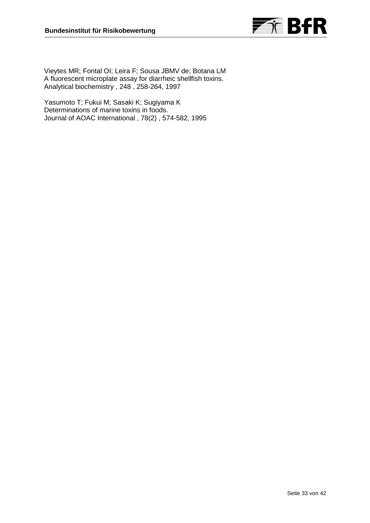

Vieytes MR; Fontal OI; Leira F; Sousa JBMV de; Botana LM A fluorescent microplate assay for diarrheic shellfish toxins. Analytical biochemistry , 248 , 258-264, 1997

Yasumoto T; Fukui M; Sasaki K; Sugiyama K Determinations of marine toxins in foods. Journal of AOAC International , 78(2) , 574-582, 1995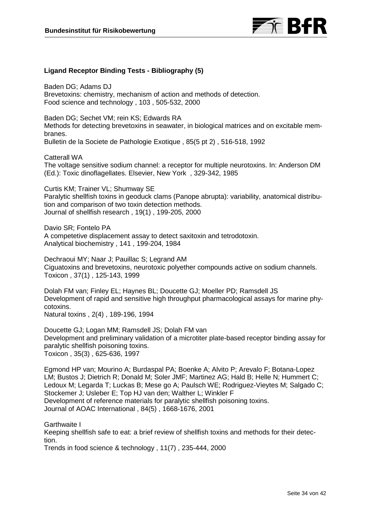

# **Ligand Receptor Binding Tests - Bibliography (5)**

Baden DG; Adams DJ Brevetoxins: chemistry, mechanism of action and methods of detection. Food science and technology , 103 , 505-532, 2000

Baden DG; Sechet VM; rein KS; Edwards RA Methods for detecting brevetoxins in seawater, in biological matrices and on excitable membranes. Bulletin de la Societe de Pathologie Exotique , 85(5 pt 2) , 516-518, 1992

Catterall WA The voltage sensitive sodium channel: a receptor for multiple neurotoxins. In: Anderson DM (Ed.): Toxic dinoflagellates. Elsevier, New York , 329-342, 1985

Curtis KM; Trainer VL; Shumway SE Paralytic shellfish toxins in geoduck clams (Panope abrupta): variability, anatomical distribution and comparison of two toxin detection methods. Journal of shellfish research , 19(1) , 199-205, 2000

Davio SR; Fontelo PA A competetive displacement assay to detect saxitoxin and tetrodotoxin. Analytical biochemistry , 141 , 199-204, 1984

Dechraoui MY; Naar J; Pauillac S; Legrand AM Ciguatoxins and brevetoxins, neurotoxic polyether compounds active on sodium channels. Toxicon , 37(1) , 125-143, 1999

Dolah FM van; Finley EL; Haynes BL; Doucette GJ; Moeller PD; Ramsdell JS Development of rapid and sensitive high throughput pharmacological assays for marine phycotoxins. Natural toxins , 2(4) , 189-196, 1994

Doucette GJ; Logan MM; Ramsdell JS; Dolah FM van Development and preliminary validation of a microtiter plate-based receptor binding assay for paralytic shellfish poisoning toxins. Toxicon , 35(3) , 625-636, 1997

Egmond HP van; Mourino A; Burdaspal PA; Boenke A; Alvito P; Arevalo F; Botana-Lopez LM; Bustos J; Dietrich R; Donald M; Soler JMF; Martinez AG; Hald B; Helle N; Hummert C; Ledoux M; Legarda T; Luckas B; Mese go A; Paulsch WE; Rodriguez-Vieytes M; Salgado C; Stockemer J; Usleber E; Top HJ van den; Walther L; Winkler F Development of reference materials for paralytic shellfish poisoning toxins. Journal of AOAC International , 84(5) , 1668-1676, 2001

Garthwaite I

Keeping shellfish safe to eat: a brief review of shellfish toxins and methods for their detection.

Trends in food science & technology , 11(7) , 235-444, 2000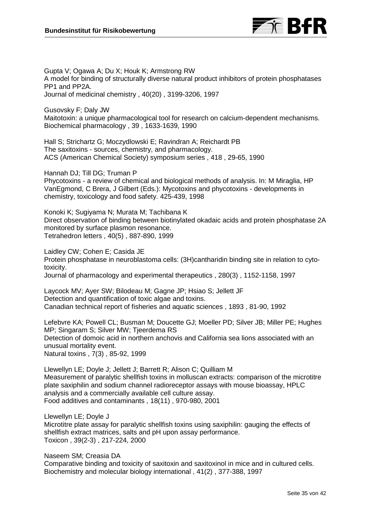

Gupta V; Ogawa A; Du X; Houk K; Armstrong RW A model for binding of structurally diverse natural product inhibitors of protein phosphatases PP1 and PP2A. Journal of medicinal chemistry , 40(20) , 3199-3206, 1997

Gusovsky F; Daly JW Maitotoxin: a unique pharmacological tool for research on calcium-dependent mechanisms. Biochemical pharmacology , 39 , 1633-1639, 1990

Hall S; Strichartz G; Moczydlowski E; Ravindran A; Reichardt PB The saxitoxins - sources, chemistry, and pharmacology. ACS (American Chemical Society) symposium series , 418 , 29-65, 1990

Hannah DJ; Till DG; Truman P Phycotoxins - a review of chemical and biological methods of analysis. In: M Miraglia, HP VanEgmond, C Brera, J Gilbert (Eds.): Mycotoxins and phycotoxins - developments in chemistry, toxicology and food safety. 425-439, 1998

Konoki K; Sugiyama N; Murata M; Tachibana K Direct observation of binding between biotinylated okadaic acids and protein phosphatase 2A monitored by surface plasmon resonance. Tetrahedron letters , 40(5) , 887-890, 1999

Laidley CW; Cohen E; Casida JE Protein phosphatase in neuroblastoma cells: (3H)cantharidin binding site in relation to cytotoxicity. Journal of pharmacology and experimental therapeutics , 280(3) , 1152-1158, 1997

Laycock MV; Ayer SW; Bilodeau M; Gagne JP; Hsiao S; Jellett JF Detection and quantification of toxic algae and toxins. Canadian technical report of fisheries and aquatic sciences , 1893 , 81-90, 1992

Lefebvre KA; Powell CL; Busman M; Doucette GJ; Moeller PD; Silver JB; Miller PE; Hughes MP; Singaram S; Silver MW; Tjeerdema RS Detection of domoic acid in northern anchovis and California sea lions associated with an unusual mortality event. Natural toxins , 7(3) , 85-92, 1999

Llewellyn LE; Doyle J; Jellett J; Barrett R; Alison C; Quilliam M Measurement of paralytic shellfish toxins in molluscan extracts: comparison of the microtitre plate saxiphilin and sodium channel radioreceptor assays with mouse bioassay, HPLC analysis and a commercially available cell culture assay. Food additives and contaminants , 18(11) , 970-980, 2001

Llewellyn LE; Doyle J Microtitre plate assay for paralytic shellfish toxins using saxiphilin: gauging the effects of shellfish extract matrices, salts and pH upon assay performance. Toxicon , 39(2-3) , 217-224, 2000

Naseem SM; Creasia DA Comparative binding and toxicity of saxitoxin and saxitoxinol in mice and in cultured cells. Biochemistry and molecular biology international , 41(2) , 377-388, 1997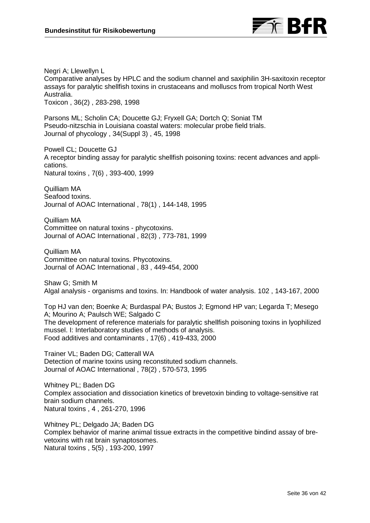

Negri A; Llewellyn L Comparative analyses by HPLC and the sodium channel and saxiphilin 3H-saxitoxin receptor assays for paralytic shellfish toxins in crustaceans and molluscs from tropical North West Australia. Toxicon , 36(2) , 283-298, 1998

Parsons ML; Scholin CA; Doucette GJ; Fryxell GA; Dortch Q; Soniat TM Pseudo-nitzschia in Louisiana coastal waters: molecular probe field trials. Journal of phycology , 34(Suppl 3) , 45, 1998

Powell CL; Doucette GJ A receptor binding assay for paralytic shellfish poisoning toxins: recent advances and applications. Natural toxins , 7(6) , 393-400, 1999

Quilliam MA Seafood toxins. Journal of AOAC International , 78(1) , 144-148, 1995

Quilliam MA Committee on natural toxins - phycotoxins. Journal of AOAC International , 82(3) , 773-781, 1999

Quilliam MA Committee on natural toxins. Phycotoxins. Journal of AOAC International , 83 , 449-454, 2000

Shaw G; Smith M Algal analysis - organisms and toxins. In: Handbook of water analysis. 102 , 143-167, 2000

Top HJ van den; Boenke A; Burdaspal PA; Bustos J; Egmond HP van; Legarda T; Mesego A; Mourino A; Paulsch WE; Salgado C The development of reference materials for paralytic shellfish poisoning toxins in lyophilized mussel. I: Interlaboratory studies of methods of analysis. Food additives and contaminants , 17(6) , 419-433, 2000

Trainer VL; Baden DG; Catterall WA Detection of marine toxins using reconstituted sodium channels. Journal of AOAC International , 78(2) , 570-573, 1995

Whitney PL; Baden DG Complex association and dissociation kinetics of brevetoxin binding to voltage-sensitive rat brain sodium channels. Natural toxins , 4 , 261-270, 1996

Whitney PL; Delgado JA; Baden DG Complex behavior of marine animal tissue extracts in the competitive bindind assay of brevetoxins with rat brain synaptosomes. Natural toxins , 5(5) , 193-200, 1997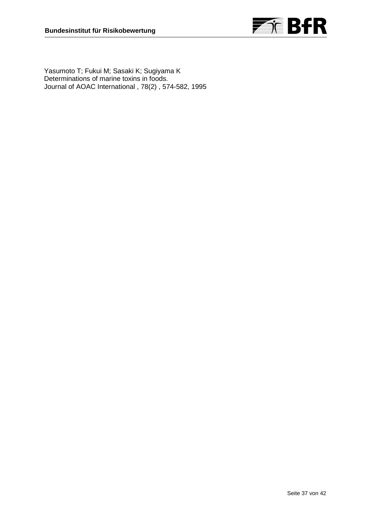

Yasumoto T; Fukui M; Sasaki K; Sugiyama K Determinations of marine toxins in foods. Journal of AOAC International , 78(2) , 574-582, 1995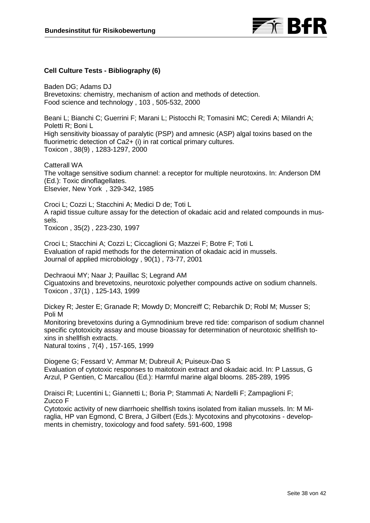

# **Cell Culture Tests - Bibliography (6)**

Baden DG; Adams DJ Brevetoxins: chemistry, mechanism of action and methods of detection. Food science and technology , 103 , 505-532, 2000

Beani L; Bianchi C; Guerrini F; Marani L; Pistocchi R; Tomasini MC; Ceredi A; Milandri A; Poletti R; Boni L High sensitivity bioassay of paralytic (PSP) and amnesic (ASP) algal toxins based on the fluorimetric detection of Ca2+ (i) in rat cortical primary cultures. Toxicon , 38(9) , 1283-1297, 2000

Catterall WA The voltage sensitive sodium channel: a receptor for multiple neurotoxins. In: Anderson DM (Ed.): Toxic dinoflagellates. Elsevier, New York , 329-342, 1985

Croci L; Cozzi L; Stacchini A; Medici D de; Toti L A rapid tissue culture assay for the detection of okadaic acid and related compounds in mussels.

Toxicon , 35(2) , 223-230, 1997

Croci L; Stacchini A; Cozzi L; Ciccaglioni G; Mazzei F; Botre F; Toti L Evaluation of rapid methods for the determination of okadaic acid in mussels. Journal of applied microbiology , 90(1) , 73-77, 2001

Dechraoui MY; Naar J; Pauillac S; Legrand AM Ciguatoxins and brevetoxins, neurotoxic polyether compounds active on sodium channels. Toxicon , 37(1) , 125-143, 1999

Dickey R; Jester E; Granade R; Mowdy D; Moncreiff C; Rebarchik D; Robl M; Musser S; Poli M

Monitoring brevetoxins during a Gymnodinium breve red tide: comparison of sodium channel specific cytotoxicity assay and mouse bioassay for determination of neurotoxic shellfish toxins in shellfish extracts. Natural toxins , 7(4) , 157-165, 1999

Diogene G; Fessard V; Ammar M; Dubreuil A; Puiseux-Dao S

Evaluation of cytotoxic responses to maitotoxin extract and okadaic acid. In: P Lassus, G Arzul, P Gentien, C Marcallou (Ed.): Harmful marine algal blooms. 285-289, 1995

Draisci R; Lucentini L; Giannetti L; Boria P; Stammati A; Nardelli F; Zampaglioni F; Zucco F

Cytotoxic activity of new diarrhoeic shellfish toxins isolated from italian mussels. In: M Miraglia, HP van Egmond, C Brera, J Gilbert (Eds.): Mycotoxins and phycotoxins - developments in chemistry, toxicology and food safety. 591-600, 1998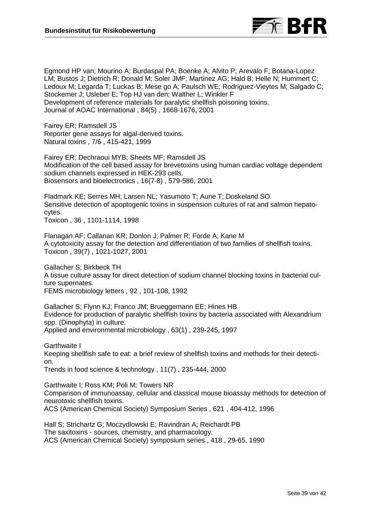

Egmond HP van; Mourino A; Burdaspal PA; Boenke A; Alvito P; Arevalo F; Botana-Lopez LM; Bustos J; Dietrich R; Donald M; Soler JMF; Martinez AG; Hald B; Helle N; Hummert C; Ledoux M; Legarda T; Luckas B; Mese go A; Paulsch WE; Rodriguez-Vieytes M; Salgado C; Stockemer J; Usleber E; Top HJ van den; Walther L; Winkler F Development of reference materials for paralytic shellfish poisoning toxins. Journal of AOAC International , 84(5) , 1668-1676, 2001

Fairey ER; Ramsdell JS Reporter gene assays for algal-derived toxins. Natural toxins , 7/6 , 415-421, 1999

Fairey ER; Dechraoui MYB; Sheets MF; Ramsdell JS Modification of the cell based assay for brevetoxins using human cardiac voltage dependent sodium channels expressed in HEK-293 cells. Biosensors and bioelectronics , 16(7-8) , 579-586, 2001

Fladmark KE; Serres MH; Larsen NL; Yasumoto T; Aune T; Doskeland SO Sensitive detection of apoptogenic toxins in suspension cultures of rat and salmon hepatocytes.

Toxicon , 36 , 1101-1114, 1998

Flanagan AF; Callanan KR; Donlon J; Palmer R; Forde A; Kane M A cytotoxicity assay for the detection and differentiation of two families of shellfish toxins. Toxicon , 39(7) , 1021-1027, 2001

Gallacher S; Birkbeck TH A tissue culture assay for direct detection of sodium channel blocking toxins in bacterial culture supernates. FEMS microbiology letters , 92 , 101-108, 1992

Gallacher S; Flynn KJ; Franco JM; Brueggemann EE; Hines HB Evidence for production of paralytic shellfish toxins by bacteria associated with Alexandrium spp. (Dinophyta) in culture. Applied and environmental microbiology , 63(1) , 239-245, 1997

Garthwaite I Keeping shellfish safe to eat: a brief review of shellfish toxins and methods for their detection. Trends in food science & technology , 11(7) , 235-444, 2000

Garthwaite I; Ross KM; Poli M; Towers NR Comparison of immunoassay, cellular and classical mouse bioassay methods for detection of neurotoxic shellfish toxins.

ACS (American Chemical Society) Symposium Series , 621 , 404-412, 1996

Hall S; Strichartz G; Moczydlowski E; Ravindran A; Reichardt PB The saxitoxins - sources, chemistry, and pharmacology. ACS (American Chemical Society) symposium series , 418 , 29-65, 1990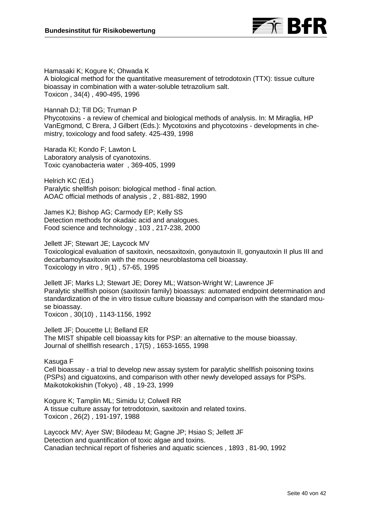

Hamasaki K; Kogure K; Ohwada K A biological method for the quantitative measurement of tetrodotoxin (TTX): tissue culture bioassay in combination with a water-soluble tetrazolium salt. Toxicon , 34(4) , 490-495, 1996

Hannah DJ; Till DG; Truman P

Phycotoxins - a review of chemical and biological methods of analysis. In: M Miraglia, HP VanEgmond, C Brera, J Gilbert (Eds.): Mycotoxins and phycotoxins - developments in chemistry, toxicology and food safety. 425-439, 1998

Harada KI; Kondo F; Lawton L Laboratory analysis of cyanotoxins. Toxic cyanobacteria water , 369-405, 1999

Helrich KC (Ed.) Paralytic shellfish poison: biological method - final action. AOAC official methods of analysis , 2 , 881-882, 1990

James KJ; Bishop AG; Carmody EP; Kelly SS Detection methods for okadaic acid and analogues. Food science and technology , 103 , 217-238, 2000

Jellett JF; Stewart JE; Laycock MV Toxicological evaluation of saxitoxin, neosaxitoxin, gonyautoxin II, gonyautoxin II plus III and decarbamoylsaxitoxin with the mouse neuroblastoma cell bioassay. Toxicology in vitro , 9(1) , 57-65, 1995

Jellett JF; Marks LJ; Stewart JE; Dorey ML; Watson-Wright W; Lawrence JF Paralytic shellfish poison (saxitoxin family) bioassays: automated endpoint determination and standardization of the in vitro tissue culture bioassay and comparison with the standard mouse bioassay. Toxicon , 30(10) , 1143-1156, 1992

Jellett JF; Doucette LI; Belland ER The MIST shipable cell bioassay kits for PSP: an alternative to the mouse bioassay. Journal of shellfish research , 17(5) , 1653-1655, 1998

Kasuga F

Cell bioassay - a trial to develop new assay system for paralytic shellfish poisoning toxins (PSPs) and ciguatoxins, and comparison with other newly developed assays for PSPs. Maikotokokishin (Tokyo) , 48 , 19-23, 1999

Kogure K; Tamplin ML; Simidu U; Colwell RR A tissue culture assay for tetrodotoxin, saxitoxin and related toxins. Toxicon , 26(2) , 191-197, 1988

Laycock MV; Ayer SW; Bilodeau M; Gagne JP; Hsiao S; Jellett JF Detection and quantification of toxic algae and toxins. Canadian technical report of fisheries and aquatic sciences , 1893 , 81-90, 1992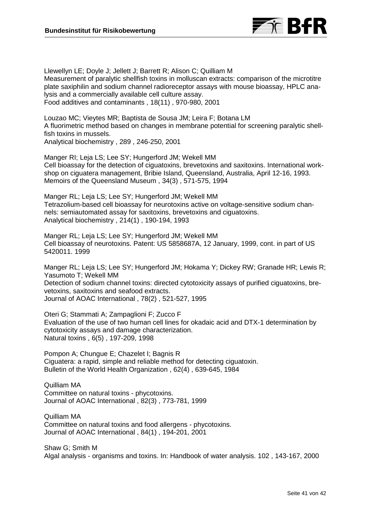

Llewellyn LE; Doyle J; Jellett J; Barrett R; Alison C; Quilliam M Measurement of paralytic shellfish toxins in molluscan extracts: comparison of the microtitre plate saxiphilin and sodium channel radioreceptor assays with mouse bioassay, HPLC analysis and a commercially available cell culture assay. Food additives and contaminants , 18(11) , 970-980, 2001

Louzao MC; Vieytes MR; Baptista de Sousa JM; Leira F; Botana LM A fluorimetric method based on changes in membrane potential for screening paralytic shellfish toxins in mussels. Analytical biochemistry , 289 , 246-250, 2001

Manger RI; Leja LS; Lee SY; Hungerford JM; Wekell MM Cell bioassay for the detection of ciguatoxins, brevetoxins and saxitoxins. International workshop on ciguatera management, Bribie Island, Queensland, Australia, April 12-16, 1993. Memoirs of the Queensland Museum , 34(3) , 571-575, 1994

Manger RL; Leja LS; Lee SY; Hungerford JM; Wekell MM Tetrazolium-based cell bioassay for neurotoxins active on voltage-sensitive sodium channels: semiautomated assay for saxitoxins, brevetoxins and ciguatoxins. Analytical biochemistry , 214(1) , 190-194, 1993

Manger RL; Leja LS; Lee SY; Hungerford JM; Wekell MM Cell bioassay of neurotoxins. Patent: US 5858687A, 12 January, 1999, cont. in part of US 5420011. 1999

Manger RL; Leja LS; Lee SY; Hungerford JM; Hokama Y; Dickey RW; Granade HR; Lewis R; Yasumoto T; Wekell MM Detection of sodium channel toxins: directed cytotoxicity assays of purified ciguatoxins, brevetoxins, saxitoxins and seafood extracts. Journal of AOAC International , 78(2) , 521-527, 1995

Oteri G; Stammati A; Zampaglioni F; Zucco F Evaluation of the use of two human cell lines for okadaic acid and DTX-1 determination by cytotoxicity assays and damage characterization. Natural toxins , 6(5) , 197-209, 1998

Pompon A; Chungue E; Chazelet I; Bagnis R Ciguatera: a rapid, simple and reliable method for detecting ciguatoxin. Bulletin of the World Health Organization , 62(4) , 639-645, 1984

Quilliam MA Committee on natural toxins - phycotoxins. Journal of AOAC International , 82(3) , 773-781, 1999

Quilliam MA Committee on natural toxins and food allergens - phycotoxins. Journal of AOAC International , 84(1) , 194-201, 2001

Shaw G; Smith M Algal analysis - organisms and toxins. In: Handbook of water analysis. 102 , 143-167, 2000